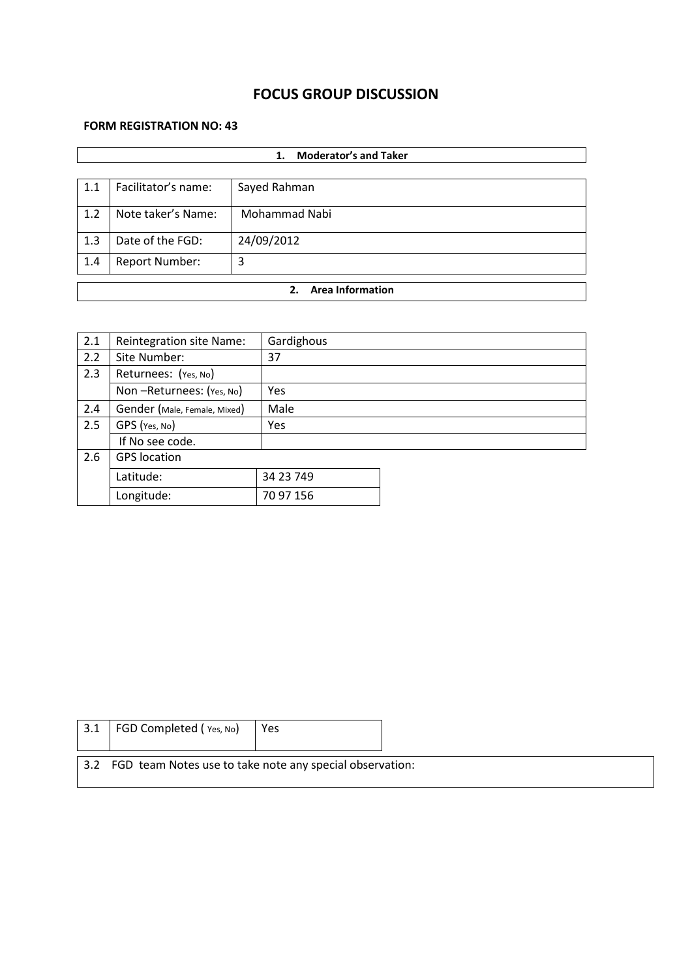# **FOCUS GROUP DISCUSSION**

## **FORM REGISTRATION NO: 43**

|     | <b>Moderator's and Taker</b><br>1. |               |  |  |  |
|-----|------------------------------------|---------------|--|--|--|
|     |                                    |               |  |  |  |
| 1.1 | Facilitator's name:                | Sayed Rahman  |  |  |  |
| 1.2 | Note taker's Name:                 | Mohammad Nabi |  |  |  |
| 1.3 | Date of the FGD:                   | 24/09/2012    |  |  |  |
| 1.4 | <b>Report Number:</b>              | 3             |  |  |  |
|     | <b>Area Information</b><br>2.      |               |  |  |  |
|     |                                    |               |  |  |  |

| 2.1 | Reintegration site Name:     | Gardighous |
|-----|------------------------------|------------|
| 2.2 | Site Number:                 | 37         |
| 2.3 | Returnees: (Yes, No)         |            |
|     | Non-Returnees: (Yes, No)     | Yes        |
| 2.4 | Gender (Male, Female, Mixed) | Male       |
| 2.5 | GPS (Yes, No)                | Yes        |
|     | If No see code.              |            |
| 2.6 | <b>GPS</b> location          |            |
|     | Latitude:                    | 34 23 749  |
|     | Longitude:                   | 70 97 156  |

| $\vert 3.1 \vert$ | FGD Completed (Yes, No)                                      | Yes |  |
|-------------------|--------------------------------------------------------------|-----|--|
|                   | 3.2 FGD team Notes use to take note any special observation: |     |  |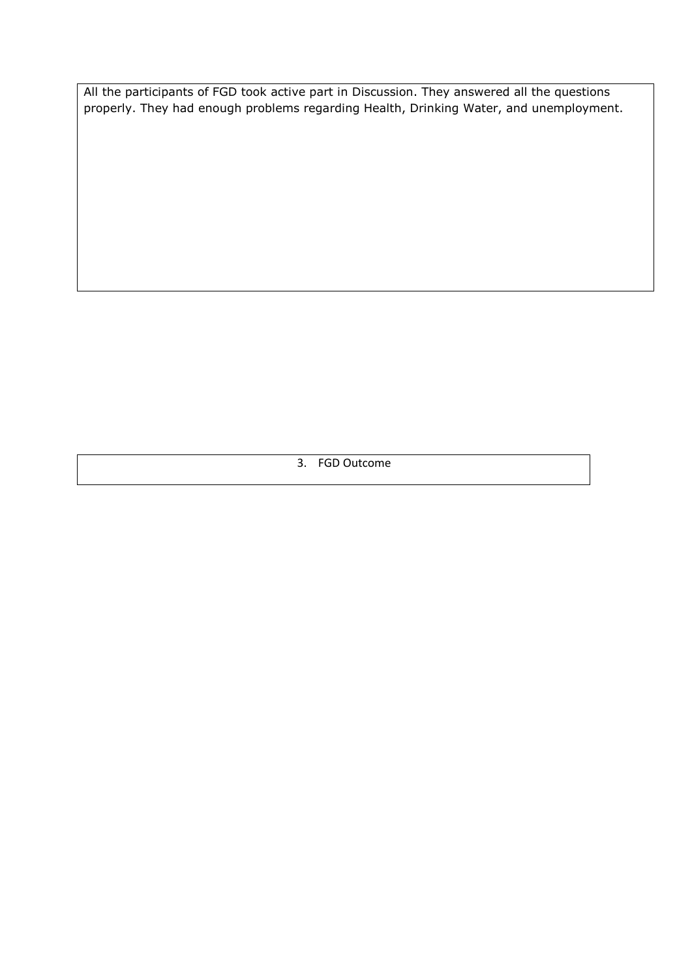All the participants of FGD took active part in Discussion. They answered all the questions properly. They had enough problems regarding Health, Drinking Water, and unemployment.

3. FGD Outcome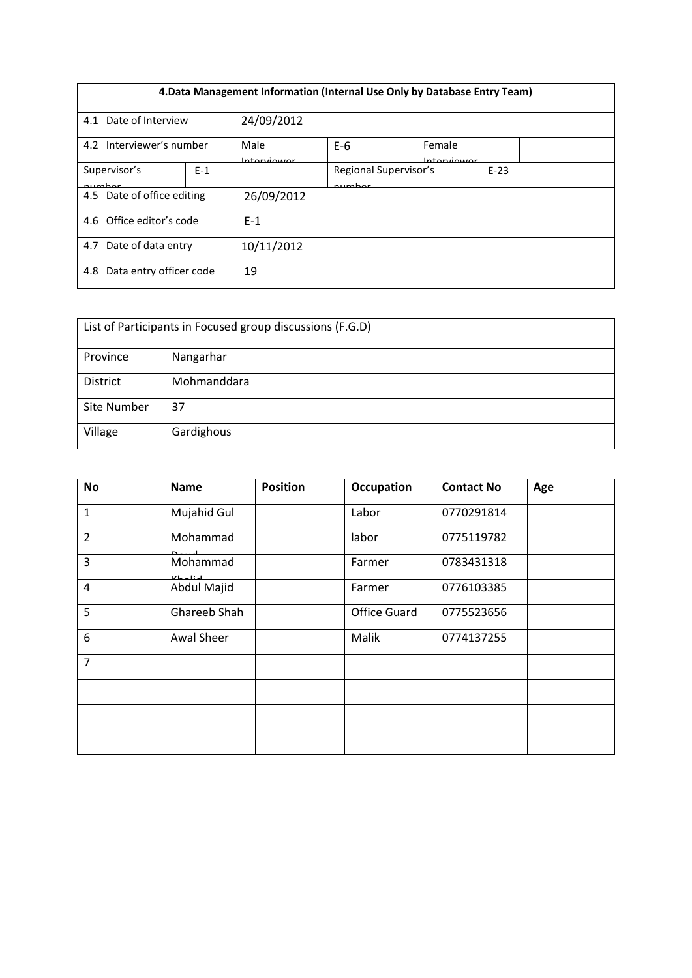| 4. Data Management Information (Internal Use Only by Database Entry Team) |       |                      |                                 |                        |        |  |
|---------------------------------------------------------------------------|-------|----------------------|---------------------------------|------------------------|--------|--|
| Date of Interview<br>4.1                                                  |       | 24/09/2012           |                                 |                        |        |  |
| 4.2 Interviewer's number                                                  |       | Male<br>Intraniiouor | $E-6$                           | Female<br>Intraniiouor |        |  |
| Supervisor's<br>numhar                                                    | $E-1$ |                      | Regional Supervisor's<br>numhar |                        | $E-23$ |  |
| 4.5 Date of office editing                                                |       | 26/09/2012           |                                 |                        |        |  |
| 4.6 Office editor's code                                                  |       | $F-1$                |                                 |                        |        |  |
| Date of data entry<br>4.7                                                 |       | 10/11/2012           |                                 |                        |        |  |
| Data entry officer code<br>4.8                                            |       | 19                   |                                 |                        |        |  |

| List of Participants in Focused group discussions (F.G.D) |             |  |  |  |
|-----------------------------------------------------------|-------------|--|--|--|
| Province                                                  | Nangarhar   |  |  |  |
| <b>District</b>                                           | Mohmanddara |  |  |  |
| <b>Site Number</b>                                        | 37          |  |  |  |
| Village                                                   | Gardighous  |  |  |  |

| <b>No</b>      | <b>Name</b>             | <b>Position</b> | Occupation          | <b>Contact No</b> | Age |
|----------------|-------------------------|-----------------|---------------------|-------------------|-----|
| $\mathbf{1}$   | Mujahid Gul             |                 | Labor               | 0770291814        |     |
| $\overline{2}$ | Mohammad                |                 | labor               | 0775119782        |     |
| 3              | Mohammad<br>باستلم ساعة |                 | Farmer              | 0783431318        |     |
| $\overline{4}$ | Abdul Majid             |                 | Farmer              | 0776103385        |     |
| 5              | Ghareeb Shah            |                 | <b>Office Guard</b> | 0775523656        |     |
| 6              | Awal Sheer              |                 | Malik               | 0774137255        |     |
| $\overline{7}$ |                         |                 |                     |                   |     |
|                |                         |                 |                     |                   |     |
|                |                         |                 |                     |                   |     |
|                |                         |                 |                     |                   |     |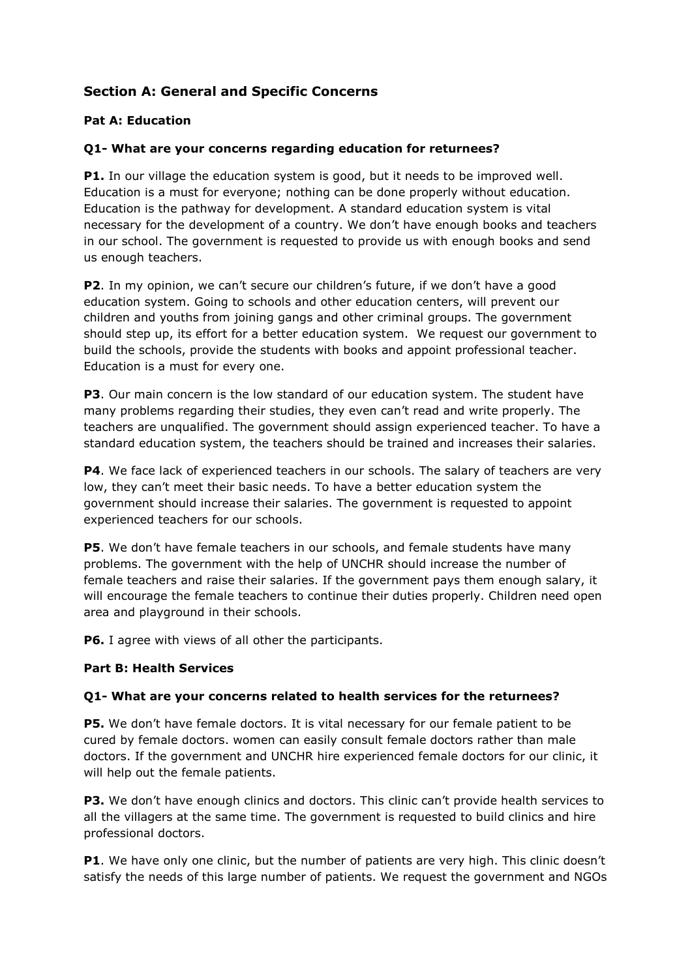# **Section A: General and Specific Concerns**

## **Pat A: Education**

## **Q1- What are your concerns regarding education for returnees?**

**P1.** In our village the education system is good, but it needs to be improved well. Education is a must for everyone; nothing can be done properly without education. Education is the pathway for development. A standard education system is vital necessary for the development of a country. We don't have enough books and teachers in our school. The government is requested to provide us with enough books and send us enough teachers.

**P2**. In my opinion, we can't secure our children's future, if we don't have a good education system. Going to schools and other education centers, will prevent our children and youths from joining gangs and other criminal groups. The government should step up, its effort for a better education system. We request our government to build the schools, provide the students with books and appoint professional teacher. Education is a must for every one.

**P3**. Our main concern is the low standard of our education system. The student have many problems regarding their studies, they even can't read and write properly. The teachers are unqualified. The government should assign experienced teacher. To have a standard education system, the teachers should be trained and increases their salaries.

**P4**. We face lack of experienced teachers in our schools. The salary of teachers are very low, they can't meet their basic needs. To have a better education system the government should increase their salaries. The government is requested to appoint experienced teachers for our schools.

**P5**. We don't have female teachers in our schools, and female students have many problems. The government with the help of UNCHR should increase the number of female teachers and raise their salaries. If the government pays them enough salary, it will encourage the female teachers to continue their duties properly. Children need open area and playground in their schools.

**P6.** I agree with views of all other the participants.

### **Part B: Health Services**

## **Q1- What are your concerns related to health services for the returnees?**

**P5.** We don't have female doctors. It is vital necessary for our female patient to be cured by female doctors. women can easily consult female doctors rather than male doctors. If the government and UNCHR hire experienced female doctors for our clinic, it will help out the female patients.

**P3.** We don't have enough clinics and doctors. This clinic can't provide health services to all the villagers at the same time. The government is requested to build clinics and hire professional doctors.

**P1**. We have only one clinic, but the number of patients are very high. This clinic doesn't satisfy the needs of this large number of patients. We request the government and NGOs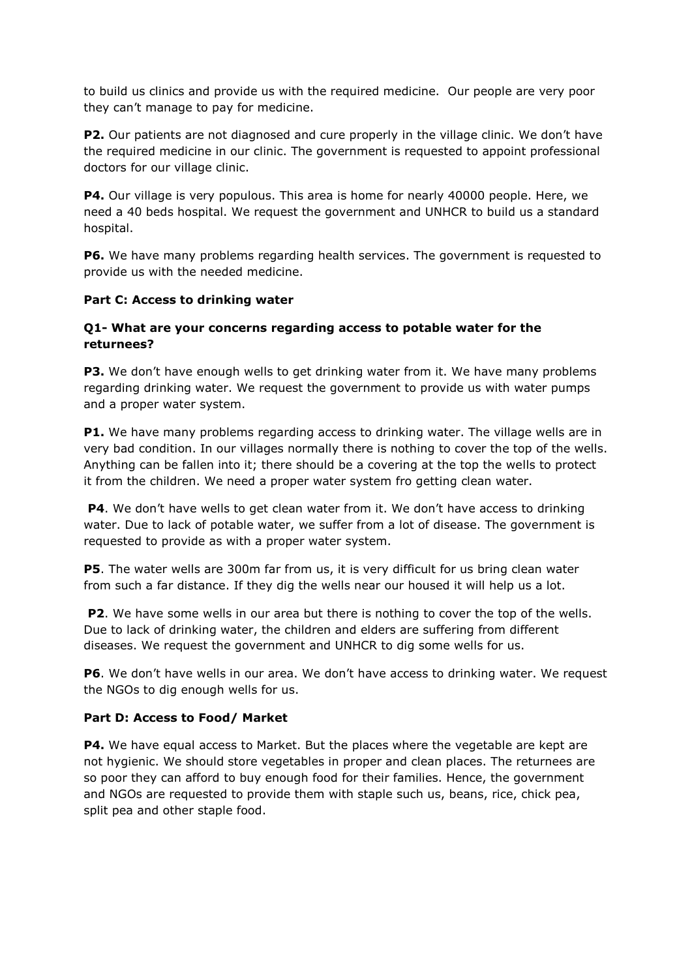to build us clinics and provide us with the required medicine. Our people are very poor they can't manage to pay for medicine.

**P2.** Our patients are not diagnosed and cure properly in the village clinic. We don't have the required medicine in our clinic. The government is requested to appoint professional doctors for our village clinic.

**P4.** Our village is very populous. This area is home for nearly 40000 people. Here, we need a 40 beds hospital. We request the government and UNHCR to build us a standard hospital.

**P6.** We have many problems regarding health services. The government is requested to provide us with the needed medicine.

### **Part C: Access to drinking water**

### **Q1- What are your concerns regarding access to potable water for the returnees?**

**P3.** We don't have enough wells to get drinking water from it. We have many problems regarding drinking water. We request the government to provide us with water pumps and a proper water system.

P1. We have many problems regarding access to drinking water. The village wells are in very bad condition. In our villages normally there is nothing to cover the top of the wells. Anything can be fallen into it; there should be a covering at the top the wells to protect it from the children. We need a proper water system fro getting clean water.

**P4**. We don't have wells to get clean water from it. We don't have access to drinking water. Due to lack of potable water, we suffer from a lot of disease. The government is requested to provide as with a proper water system.

**P5**. The water wells are 300m far from us, it is very difficult for us bring clean water from such a far distance. If they dig the wells near our housed it will help us a lot.

**P2**. We have some wells in our area but there is nothing to cover the top of the wells. Due to lack of drinking water, the children and elders are suffering from different diseases. We request the government and UNHCR to dig some wells for us.

**P6**. We don't have wells in our area. We don't have access to drinking water. We request the NGOs to dig enough wells for us.

### **Part D: Access to Food/ Market**

**P4.** We have equal access to Market. But the places where the vegetable are kept are not hygienic. We should store vegetables in proper and clean places. The returnees are so poor they can afford to buy enough food for their families. Hence, the government and NGOs are requested to provide them with staple such us, beans, rice, chick pea, split pea and other staple food.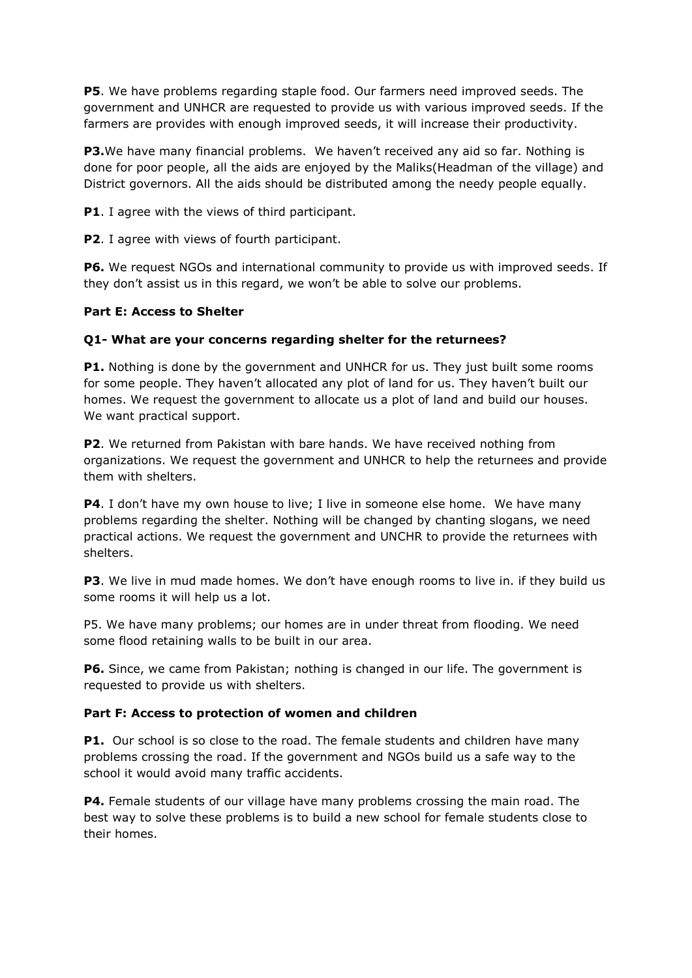**P5**. We have problems regarding staple food. Our farmers need improved seeds. The government and UNHCR are requested to provide us with various improved seeds. If the farmers are provides with enough improved seeds, it will increase their productivity.

**P3.** We have many financial problems. We haven't received any aid so far. Nothing is done for poor people, all the aids are enjoyed by the Maliks(Headman of the village) and District governors. All the aids should be distributed among the needy people equally.

**P1**. I agree with the views of third participant.

**P2**. I agree with views of fourth participant.

**P6.** We request NGOs and international community to provide us with improved seeds. If they don't assist us in this regard, we won't be able to solve our problems.

#### **Part E: Access to Shelter**

#### **Q1- What are your concerns regarding shelter for the returnees?**

**P1.** Nothing is done by the government and UNHCR for us. They just built some rooms for some people. They haven't allocated any plot of land for us. They haven't built our homes. We request the government to allocate us a plot of land and build our houses. We want practical support.

**P2**. We returned from Pakistan with bare hands. We have received nothing from organizations. We request the government and UNHCR to help the returnees and provide them with shelters.

**P4.** I don't have my own house to live; I live in someone else home. We have many problems regarding the shelter. Nothing will be changed by chanting slogans, we need practical actions. We request the government and UNCHR to provide the returnees with shelters.

**P3**. We live in mud made homes. We don't have enough rooms to live in. if they build us some rooms it will help us a lot.

P5. We have many problems; our homes are in under threat from flooding. We need some flood retaining walls to be built in our area.

**P6.** Since, we came from Pakistan; nothing is changed in our life. The government is requested to provide us with shelters.

#### **Part F: Access to protection of women and children**

**P1.** Our school is so close to the road. The female students and children have many problems crossing the road. If the government and NGOs build us a safe way to the school it would avoid many traffic accidents.

**P4.** Female students of our village have many problems crossing the main road. The best way to solve these problems is to build a new school for female students close to their homes.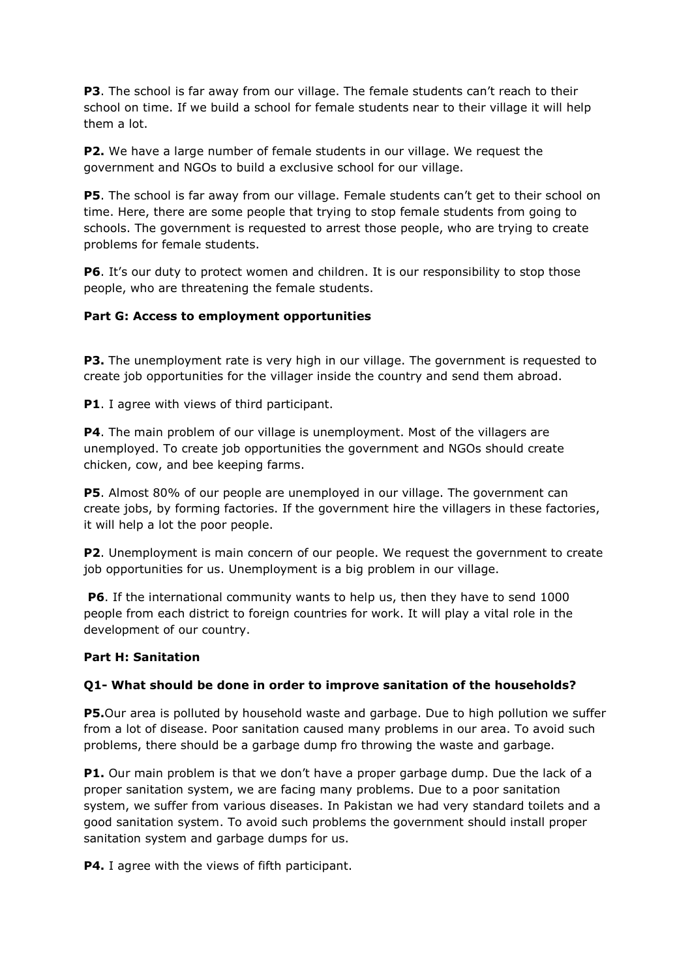**P3**. The school is far away from our village. The female students can't reach to their school on time. If we build a school for female students near to their village it will help them a lot.

**P2.** We have a large number of female students in our village. We request the government and NGOs to build a exclusive school for our village.

**P5**. The school is far away from our village. Female students can't get to their school on time. Here, there are some people that trying to stop female students from going to schools. The government is requested to arrest those people, who are trying to create problems for female students.

**P6**. It's our duty to protect women and children. It is our responsibility to stop those people, who are threatening the female students.

#### **Part G: Access to employment opportunities**

**P3.** The unemployment rate is very high in our village. The government is requested to create job opportunities for the villager inside the country and send them abroad.

**P1**. I agree with views of third participant.

**P4**. The main problem of our village is unemployment. Most of the villagers are unemployed. To create job opportunities the government and NGOs should create chicken, cow, and bee keeping farms.

**P5**. Almost 80% of our people are unemployed in our village. The government can create jobs, by forming factories. If the government hire the villagers in these factories, it will help a lot the poor people.

**P2**. Unemployment is main concern of our people. We request the government to create job opportunities for us. Unemployment is a big problem in our village.

**P6**. If the international community wants to help us, then they have to send 1000 people from each district to foreign countries for work. It will play a vital role in the development of our country.

#### **Part H: Sanitation**

#### **Q1- What should be done in order to improve sanitation of the households?**

**P5.**Our area is polluted by household waste and garbage. Due to high pollution we suffer from a lot of disease. Poor sanitation caused many problems in our area. To avoid such problems, there should be a garbage dump fro throwing the waste and garbage.

**P1.** Our main problem is that we don't have a proper garbage dump. Due the lack of a proper sanitation system, we are facing many problems. Due to a poor sanitation system, we suffer from various diseases. In Pakistan we had very standard toilets and a good sanitation system. To avoid such problems the government should install proper sanitation system and garbage dumps for us.

**P4.** I agree with the views of fifth participant.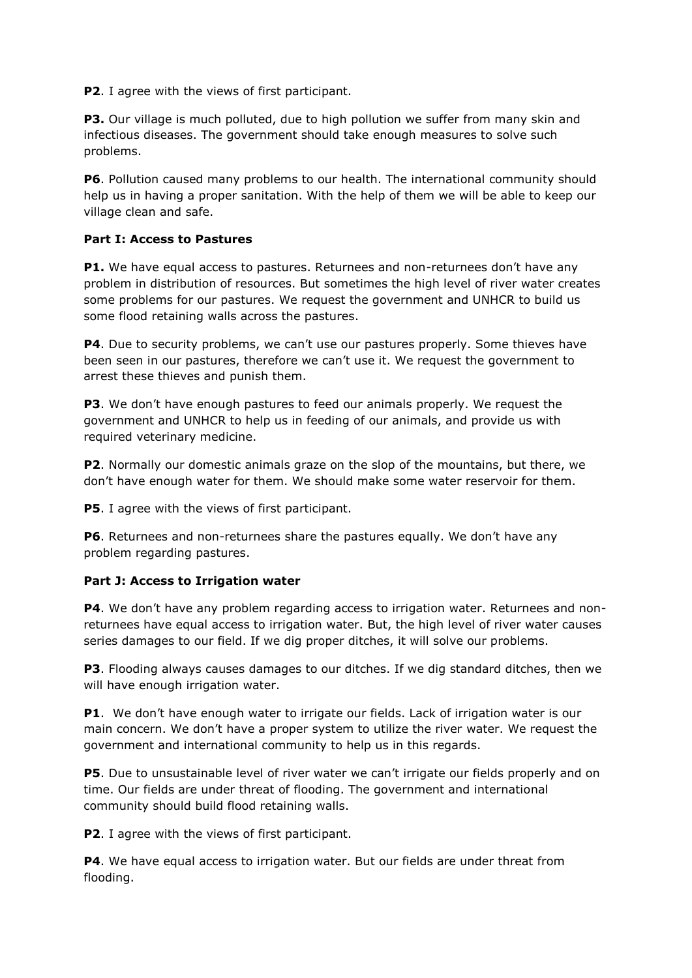**P2**. I agree with the views of first participant.

**P3.** Our village is much polluted, due to high pollution we suffer from many skin and infectious diseases. The government should take enough measures to solve such problems.

**P6**. Pollution caused many problems to our health. The international community should help us in having a proper sanitation. With the help of them we will be able to keep our village clean and safe.

#### **Part I: Access to Pastures**

**P1.** We have equal access to pastures. Returnees and non-returnees don't have any problem in distribution of resources. But sometimes the high level of river water creates some problems for our pastures. We request the government and UNHCR to build us some flood retaining walls across the pastures.

P4. Due to security problems, we can't use our pastures properly. Some thieves have been seen in our pastures, therefore we can't use it. We request the government to arrest these thieves and punish them.

**P3**. We don't have enough pastures to feed our animals properly. We request the government and UNHCR to help us in feeding of our animals, and provide us with required veterinary medicine.

**P2**. Normally our domestic animals graze on the slop of the mountains, but there, we don't have enough water for them. We should make some water reservoir for them.

**P5**. I agree with the views of first participant.

**P6**. Returnees and non-returnees share the pastures equally. We don't have any problem regarding pastures.

### **Part J: Access to Irrigation water**

**P4**. We don't have any problem regarding access to irrigation water. Returnees and nonreturnees have equal access to irrigation water. But, the high level of river water causes series damages to our field. If we dig proper ditches, it will solve our problems.

**P3**. Flooding always causes damages to our ditches. If we dig standard ditches, then we will have enough irrigation water.

**P1.** We don't have enough water to irrigate our fields. Lack of irrigation water is our main concern. We don't have a proper system to utilize the river water. We request the government and international community to help us in this regards.

**P5**. Due to unsustainable level of river water we can't irrigate our fields properly and on time. Our fields are under threat of flooding. The government and international community should build flood retaining walls.

**P2**. I agree with the views of first participant.

**P4**. We have equal access to irrigation water. But our fields are under threat from flooding.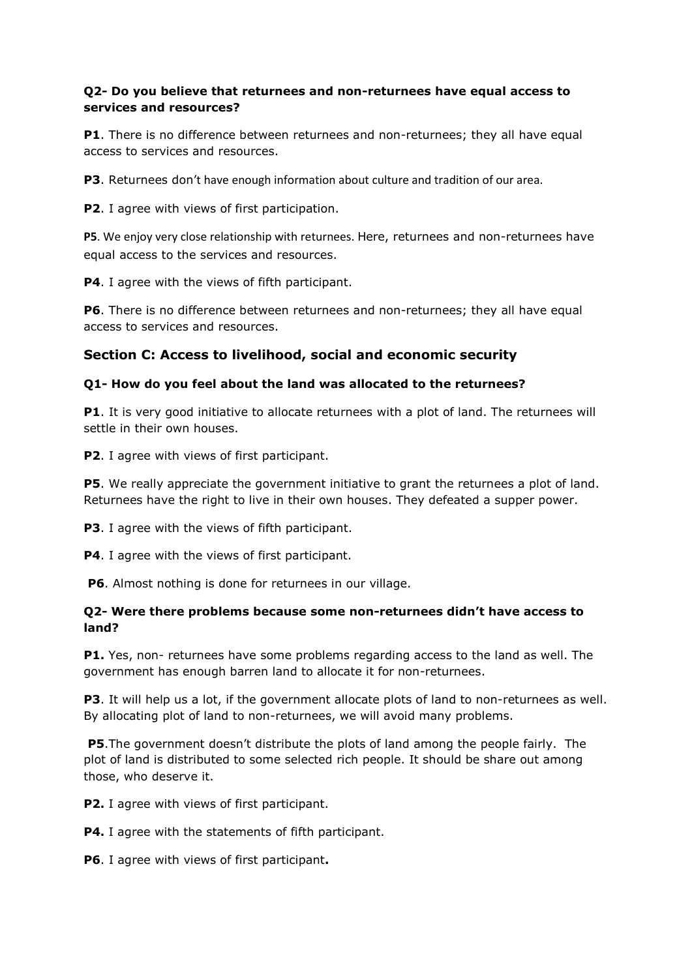### **Q2- Do you believe that returnees and non-returnees have equal access to services and resources?**

**P1**. There is no difference between returnees and non-returnees; they all have equal access to services and resources.

**P3**. Returnees don't have enough information about culture and tradition of our area.

**P2**. I agree with views of first participation.

**P5**. We enjoy very close relationship with returnees. Here, returnees and non-returnees have equal access to the services and resources.

**P4**. I agree with the views of fifth participant.

**P6**. There is no difference between returnees and non-returnees; they all have equal access to services and resources.

## **Section C: Access to livelihood, social and economic security**

#### **Q1- How do you feel about the land was allocated to the returnees?**

**P1**. It is very good initiative to allocate returnees with a plot of land. The returnees will settle in their own houses.

**P2.** I agree with views of first participant.

**P5**. We really appreciate the government initiative to grant the returnees a plot of land. Returnees have the right to live in their own houses. They defeated a supper power.

**P3**. I agree with the views of fifth participant.

**P4**. I agree with the views of first participant.

**P6**. Almost nothing is done for returnees in our village.

#### **Q2- Were there problems because some non-returnees didn't have access to land?**

**P1.** Yes, non- returnees have some problems regarding access to the land as well. The government has enough barren land to allocate it for non-returnees.

**P3**. It will help us a lot, if the government allocate plots of land to non-returnees as well. By allocating plot of land to non-returnees, we will avoid many problems.

**P5**.The government doesn't distribute the plots of land among the people fairly. The plot of land is distributed to some selected rich people. It should be share out among those, who deserve it.

**P2.** I agree with views of first participant.

**P4.** I agree with the statements of fifth participant.

**P6**. I agree with views of first participant**.**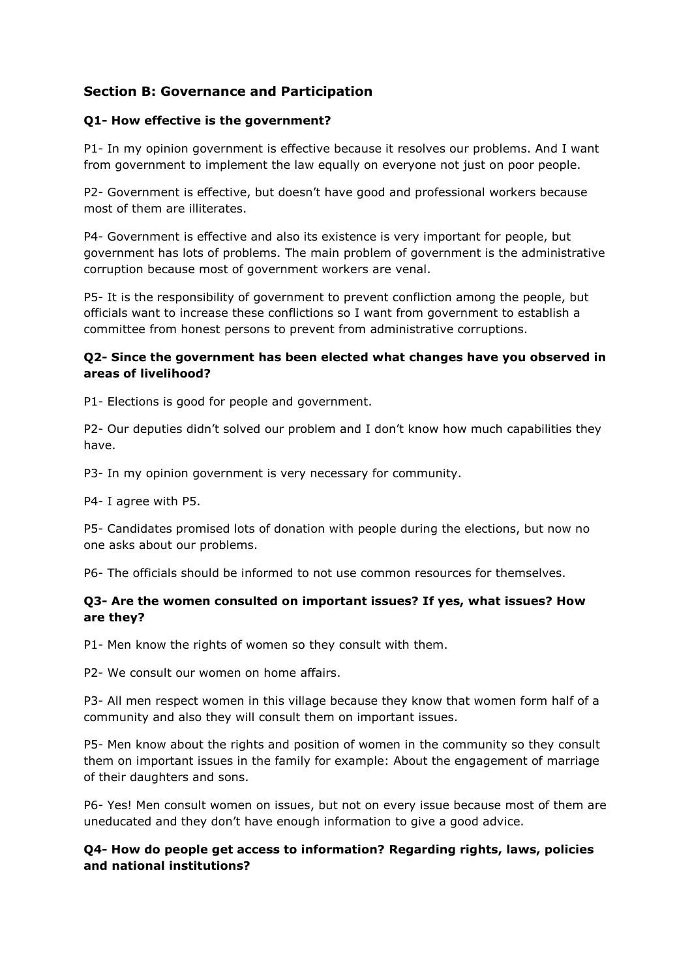# **Section B: Governance and Participation**

## **Q1- How effective is the government?**

P1- In my opinion government is effective because it resolves our problems. And I want from government to implement the law equally on everyone not just on poor people.

P2- Government is effective, but doesn't have good and professional workers because most of them are illiterates.

P4- Government is effective and also its existence is very important for people, but government has lots of problems. The main problem of government is the administrative corruption because most of government workers are venal.

P5- It is the responsibility of government to prevent confliction among the people, but officials want to increase these conflictions so I want from government to establish a committee from honest persons to prevent from administrative corruptions.

## **Q2- Since the government has been elected what changes have you observed in areas of livelihood?**

P1- Elections is good for people and government.

P2- Our deputies didn't solved our problem and I don't know how much capabilities they have.

P3- In my opinion government is very necessary for community.

P4- I agree with P5.

P5- Candidates promised lots of donation with people during the elections, but now no one asks about our problems.

P6- The officials should be informed to not use common resources for themselves.

## **Q3- Are the women consulted on important issues? If yes, what issues? How are they?**

P1- Men know the rights of women so they consult with them.

P2- We consult our women on home affairs.

P3- All men respect women in this village because they know that women form half of a community and also they will consult them on important issues.

P5- Men know about the rights and position of women in the community so they consult them on important issues in the family for example: About the engagement of marriage of their daughters and sons.

P6- Yes! Men consult women on issues, but not on every issue because most of them are uneducated and they don't have enough information to give a good advice.

## **Q4- How do people get access to information? Regarding rights, laws, policies and national institutions?**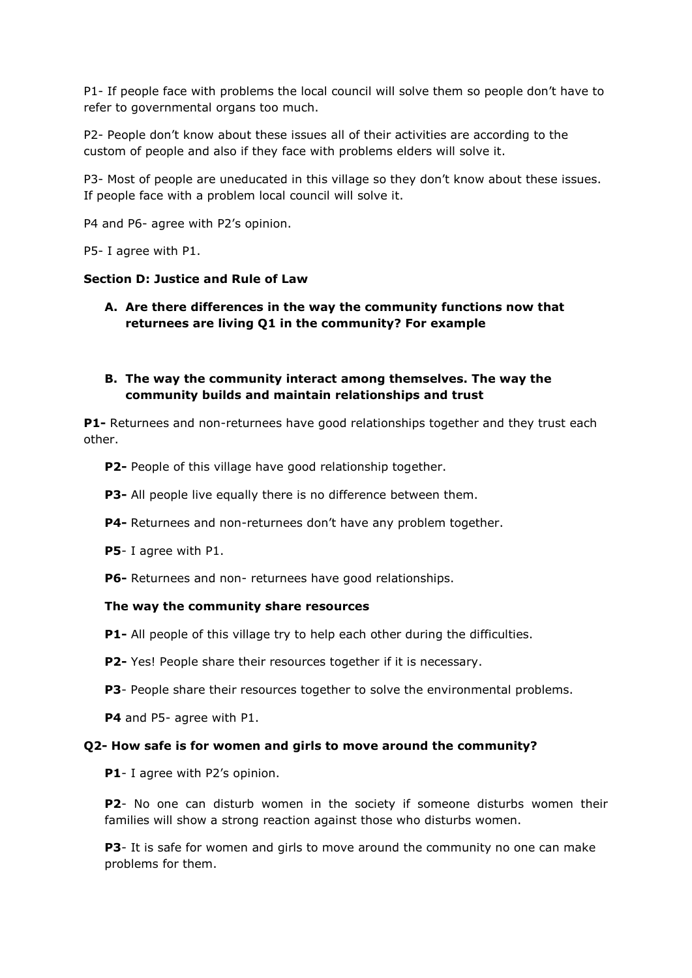P1- If people face with problems the local council will solve them so people don't have to refer to governmental organs too much.

P2- People don't know about these issues all of their activities are according to the custom of people and also if they face with problems elders will solve it.

P3- Most of people are uneducated in this village so they don't know about these issues. If people face with a problem local council will solve it.

P4 and P6- agree with P2's opinion.

P5- I agree with P1.

#### **Section D: Justice and Rule of Law**

**A. Are there differences in the way the community functions now that returnees are living Q1 in the community? For example**

### **B. The way the community interact among themselves. The way the community builds and maintain relationships and trust**

**P1-** Returnees and non-returnees have good relationships together and they trust each other.

**P2-** People of this village have good relationship together.

**P3-** All people live equally there is no difference between them.

**P4-** Returnees and non-returnees don't have any problem together.

**P5**- I agree with P1.

**P6-** Returnees and non- returnees have good relationships.

#### **The way the community share resources**

**P1-** All people of this village try to help each other during the difficulties.

- **P2-** Yes! People share their resources together if it is necessary.
- **P3** People share their resources together to solve the environmental problems.

**P4** and P5- agree with P1.

#### **Q2- How safe is for women and girls to move around the community?**

**P1**- I agree with P2's opinion.

**P2**- No one can disturb women in the society if someone disturbs women their families will show a strong reaction against those who disturbs women.

**P3**- It is safe for women and girls to move around the community no one can make problems for them.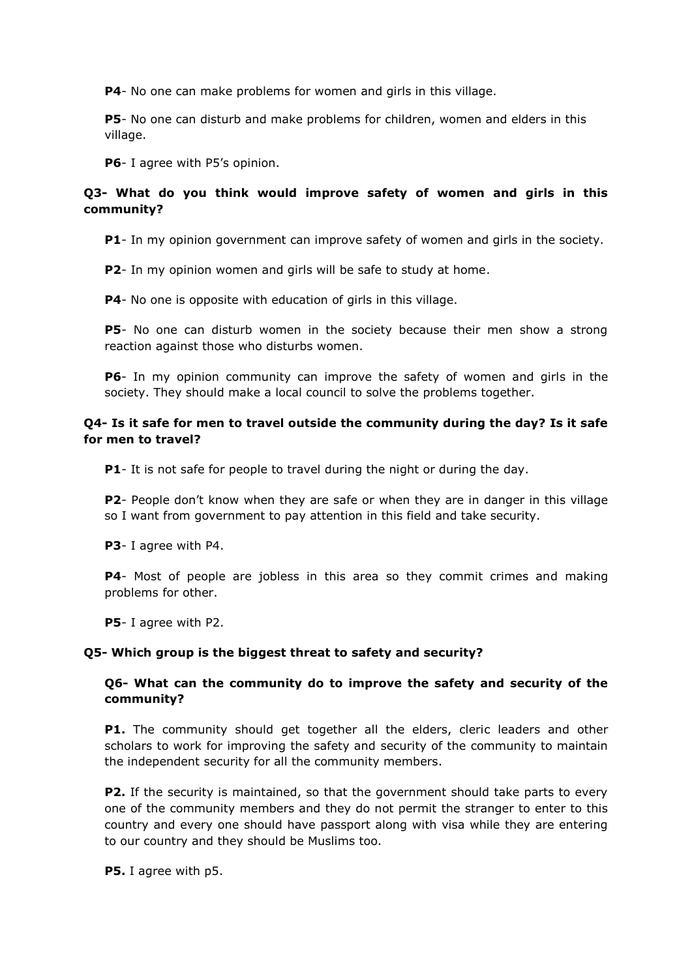**P4**- No one can make problems for women and girls in this village.

**P5**- No one can disturb and make problems for children, women and elders in this village.

**P6**- I agree with P5's opinion.

#### **Q3- What do you think would improve safety of women and girls in this community?**

**P1**- In my opinion government can improve safety of women and girls in the society.

**P2**- In my opinion women and girls will be safe to study at home.

**P4**- No one is opposite with education of girls in this village.

**P5**- No one can disturb women in the society because their men show a strong reaction against those who disturbs women.

**P6**- In my opinion community can improve the safety of women and girls in the society. They should make a local council to solve the problems together.

### **Q4- Is it safe for men to travel outside the community during the day? Is it safe for men to travel?**

**P1**- It is not safe for people to travel during the night or during the day.

**P2**- People don't know when they are safe or when they are in danger in this village so I want from government to pay attention in this field and take security.

**P3**- I agree with P4.

**P4**- Most of people are jobless in this area so they commit crimes and making problems for other.

**P5**- I agree with P2.

#### **Q5- Which group is the biggest threat to safety and security?**

#### **Q6- What can the community do to improve the safety and security of the community?**

**P1.** The community should get together all the elders, cleric leaders and other scholars to work for improving the safety and security of the community to maintain the independent security for all the community members.

**P2.** If the security is maintained, so that the government should take parts to every one of the community members and they do not permit the stranger to enter to this country and every one should have passport along with visa while they are entering to our country and they should be Muslims too.

**P5.** I agree with p5.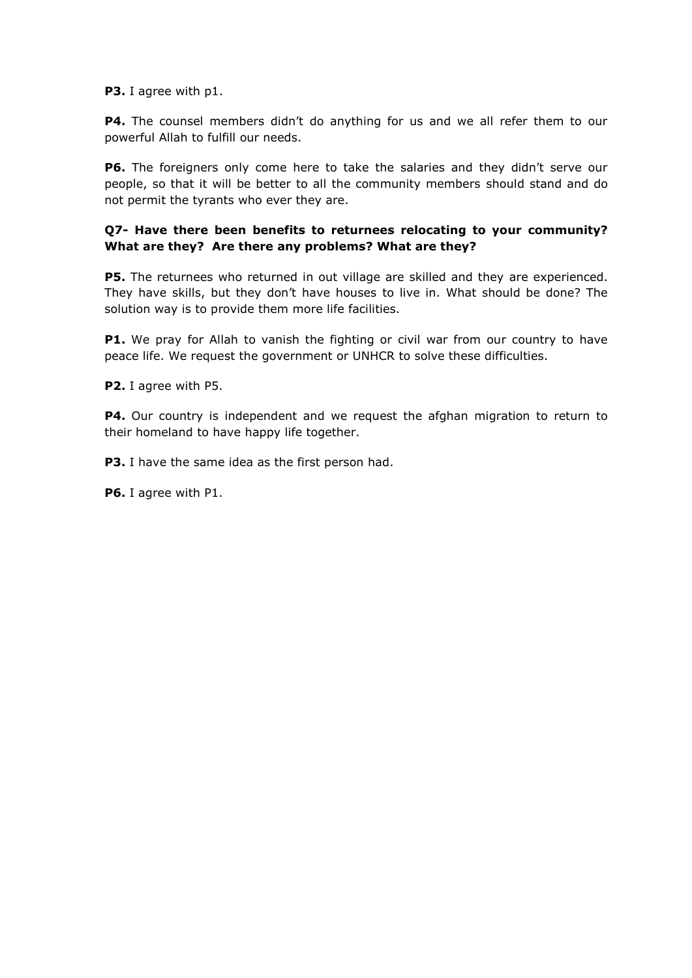**P3.** I agree with p1.

**P4.** The counsel members didn't do anything for us and we all refer them to our powerful Allah to fulfill our needs.

**P6.** The foreigners only come here to take the salaries and they didn't serve our people, so that it will be better to all the community members should stand and do not permit the tyrants who ever they are.

### **Q7- Have there been benefits to returnees relocating to your community? What are they? Are there any problems? What are they?**

**P5.** The returnees who returned in out village are skilled and they are experienced. They have skills, but they don't have houses to live in. What should be done? The solution way is to provide them more life facilities.

**P1.** We pray for Allah to vanish the fighting or civil war from our country to have peace life. We request the government or UNHCR to solve these difficulties.

**P2.** I agree with P5.

**P4.** Our country is independent and we request the afghan migration to return to their homeland to have happy life together.

**P3.** I have the same idea as the first person had.

**P6.** I agree with P1.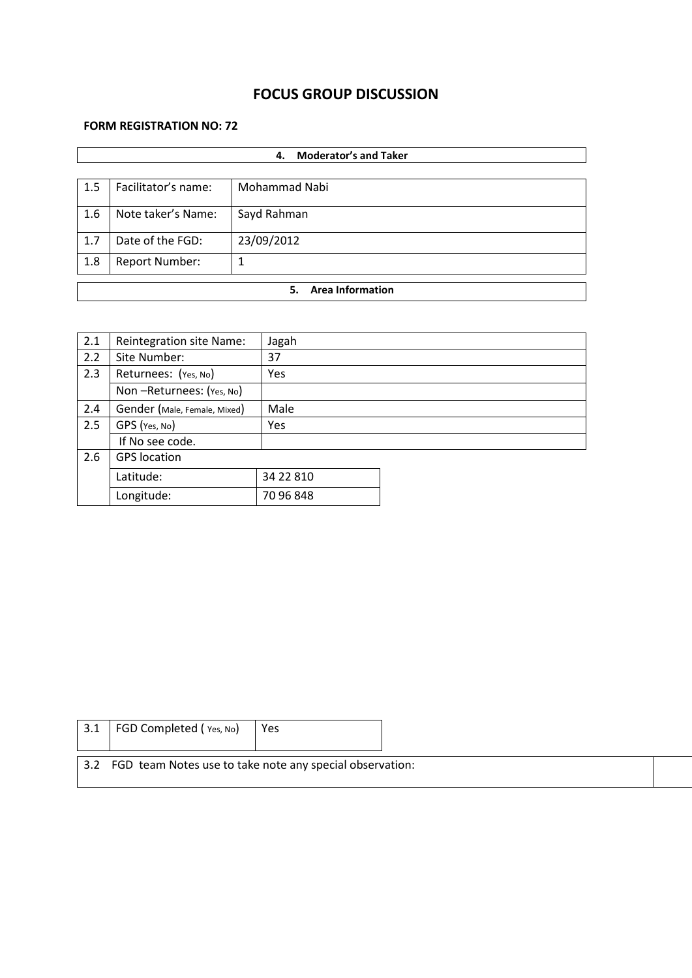# **FOCUS GROUP DISCUSSION**

## **FORM REGISTRATION NO: 72**

|     | <b>Moderator's and Taker</b><br>4. |               |  |  |  |  |
|-----|------------------------------------|---------------|--|--|--|--|
|     |                                    |               |  |  |  |  |
| 1.5 | Facilitator's name:                | Mohammad Nabi |  |  |  |  |
| 1.6 | Note taker's Name:                 | Sayd Rahman   |  |  |  |  |
| 1.7 | Date of the FGD:                   | 23/09/2012    |  |  |  |  |
| 1.8 | <b>Report Number:</b>              | 1             |  |  |  |  |
|     | <b>Area Information</b><br>5.      |               |  |  |  |  |
|     |                                    |               |  |  |  |  |

| 2.1 | Reintegration site Name:     | Jagah     |  |
|-----|------------------------------|-----------|--|
| 2.2 | Site Number:                 | 37        |  |
| 2.3 | Returnees: (Yes, No)         | Yes       |  |
|     | Non-Returnees: (Yes, No)     |           |  |
| 2.4 | Gender (Male, Female, Mixed) | Male      |  |
| 2.5 | GPS (Yes, No)                | Yes       |  |
|     | If No see code.              |           |  |
| 2.6 | <b>GPS</b> location          |           |  |
|     | Latitude:                    | 34 22 810 |  |
|     | Longitude:                   | 70 96 848 |  |

| 3.1  | FGD Completed (Yes, No)<br>Yes                           |
|------|----------------------------------------------------------|
| 13.2 | FGD team Notes use to take note any special observation: |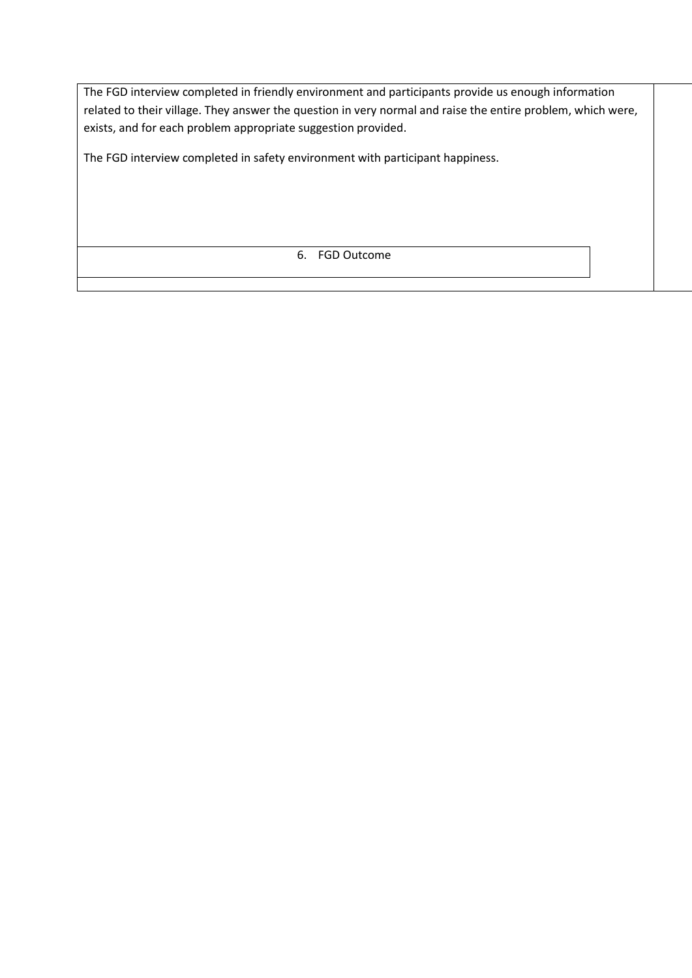The FGD interview completed in friendly environment and participants provide us enough information related to their village. They answer the question in very normal and raise the entire problem, which were, exists, and for each problem appropriate suggestion provided.

The FGD interview completed in safety environment with participant happiness.

6. FGD Outcome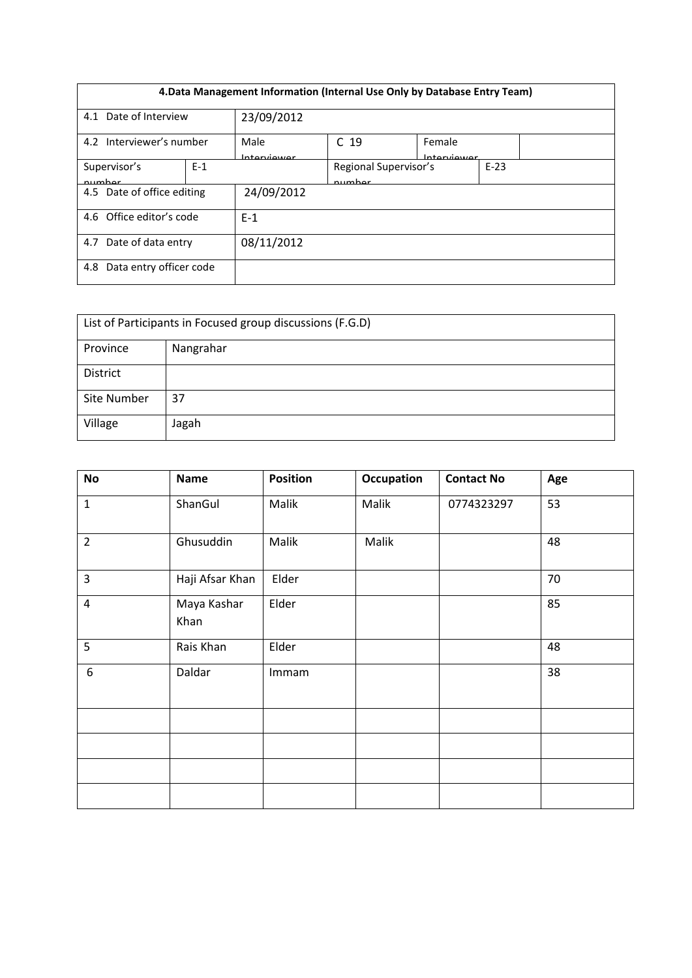| 4. Data Management Information (Internal Use Only by Database Entry Team) |       |                     |                                 |                       |        |  |
|---------------------------------------------------------------------------|-------|---------------------|---------------------------------|-----------------------|--------|--|
| Date of Interview<br>4.1                                                  |       | 23/09/2012          |                                 |                       |        |  |
| 4.2 Interviewer's number                                                  |       | Male<br>Interviewer | C <sub>19</sub>                 | Female<br>Interviewer |        |  |
| Supervisor's<br>number                                                    | $E-1$ |                     | Regional Supervisor's<br>numhar |                       | $E-23$ |  |
| 4.5 Date of office editing                                                |       | 24/09/2012          |                                 |                       |        |  |
| 4.6 Office editor's code                                                  |       | $F-1$               |                                 |                       |        |  |
| 4.7 Date of data entry                                                    |       | 08/11/2012          |                                 |                       |        |  |
| Data entry officer code<br>4.8                                            |       |                     |                                 |                       |        |  |

| List of Participants in Focused group discussions (F.G.D) |           |  |  |  |
|-----------------------------------------------------------|-----------|--|--|--|
| Province                                                  | Nangrahar |  |  |  |
| District                                                  |           |  |  |  |
| Site Number                                               | 37        |  |  |  |
| Village                                                   | Jagah     |  |  |  |

| <b>No</b>      | <b>Name</b>         | <b>Position</b> | <b>Occupation</b> | <b>Contact No</b> | Age |
|----------------|---------------------|-----------------|-------------------|-------------------|-----|
| $\mathbf 1$    | ShanGul             | Malik           | Malik             | 0774323297        | 53  |
| $\overline{2}$ | Ghusuddin           | Malik           | Malik             |                   | 48  |
| $\overline{3}$ | Haji Afsar Khan     | Elder           |                   |                   | 70  |
| $\overline{4}$ | Maya Kashar<br>Khan | Elder           |                   |                   | 85  |
| 5              | Rais Khan           | Elder           |                   |                   | 48  |
| 6              | Daldar              | Immam           |                   |                   | 38  |
|                |                     |                 |                   |                   |     |
|                |                     |                 |                   |                   |     |
|                |                     |                 |                   |                   |     |
|                |                     |                 |                   |                   |     |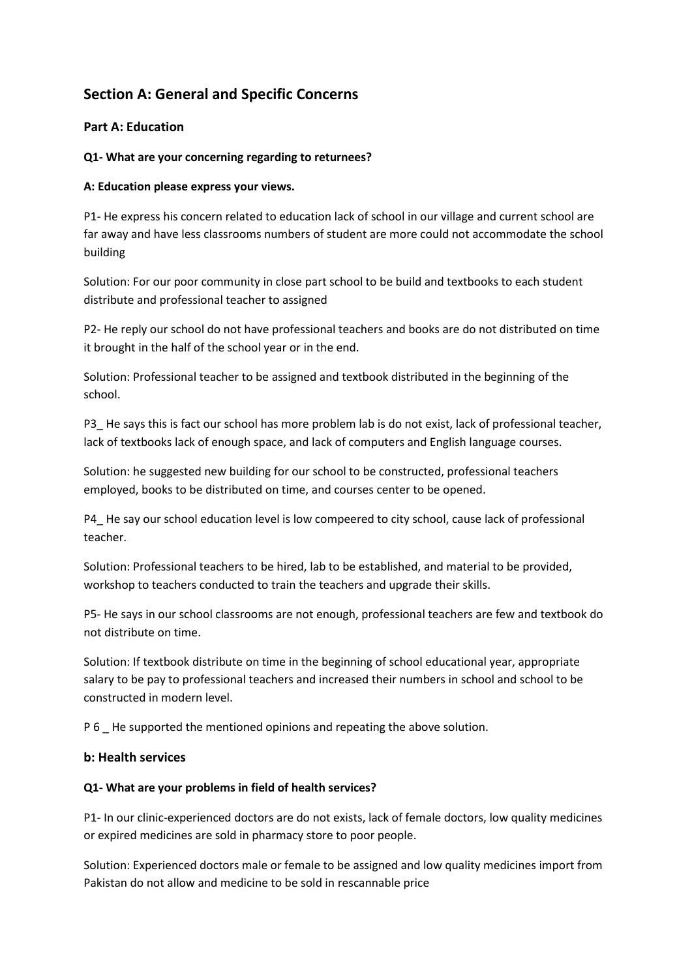# **Section A: General and Specific Concerns**

## **Part A: Education**

### **Q1- What are your concerning regarding to returnees?**

### **A: Education please express your views.**

P1- He express his concern related to education lack of school in our village and current school are far away and have less classrooms numbers of student are more could not accommodate the school building

Solution: For our poor community in close part school to be build and textbooks to each student distribute and professional teacher to assigned

P2- He reply our school do not have professional teachers and books are do not distributed on time it brought in the half of the school year or in the end.

Solution: Professional teacher to be assigned and textbook distributed in the beginning of the school.

P3 He says this is fact our school has more problem lab is do not exist, lack of professional teacher, lack of textbooks lack of enough space, and lack of computers and English language courses.

Solution: he suggested new building for our school to be constructed, professional teachers employed, books to be distributed on time, and courses center to be opened.

P4\_ He say our school education level is low compeered to city school, cause lack of professional teacher.

Solution: Professional teachers to be hired, lab to be established, and material to be provided, workshop to teachers conducted to train the teachers and upgrade their skills.

P5- He says in our school classrooms are not enough, professional teachers are few and textbook do not distribute on time.

Solution: If textbook distribute on time in the beginning of school educational year, appropriate salary to be pay to professional teachers and increased their numbers in school and school to be constructed in modern level.

P 6 \_ He supported the mentioned opinions and repeating the above solution.

### **b: Health services**

### **Q1- What are your problems in field of health services?**

P1- In our clinic-experienced doctors are do not exists, lack of female doctors, low quality medicines or expired medicines are sold in pharmacy store to poor people.

Solution: Experienced doctors male or female to be assigned and low quality medicines import from Pakistan do not allow and medicine to be sold in rescannable price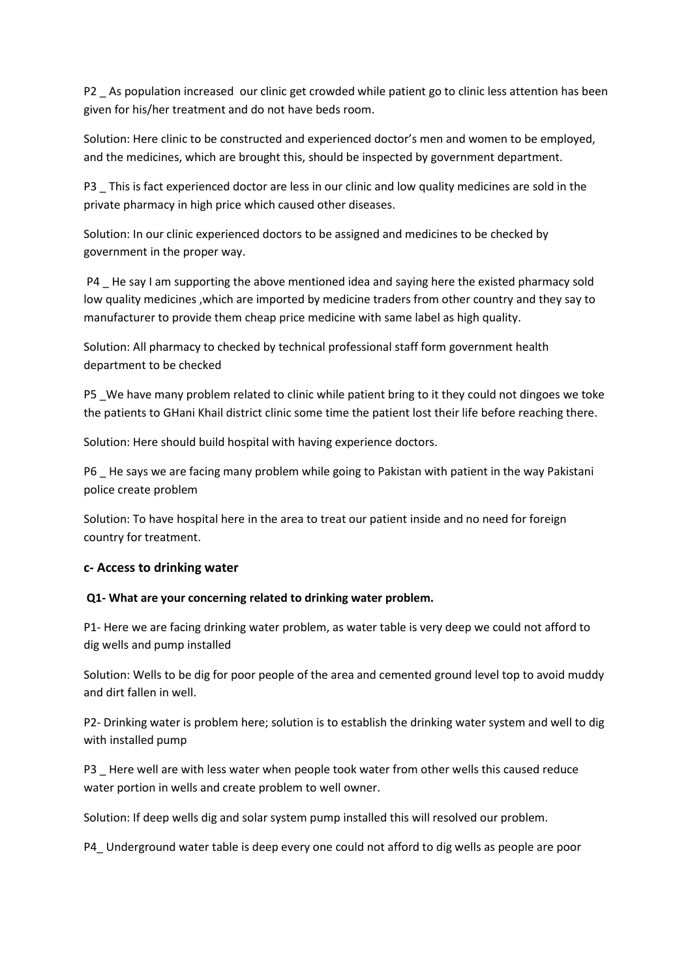P2 As population increased our clinic get crowded while patient go to clinic less attention has been given for his/her treatment and do not have beds room.

Solution: Here clinic to be constructed and experienced doctor's men and women to be employed, and the medicines, which are brought this, should be inspected by government department.

P3 \_ This is fact experienced doctor are less in our clinic and low quality medicines are sold in the private pharmacy in high price which caused other diseases.

Solution: In our clinic experienced doctors to be assigned and medicines to be checked by government in the proper way.

P4 He say I am supporting the above mentioned idea and saying here the existed pharmacy sold low quality medicines ,which are imported by medicine traders from other country and they say to manufacturer to provide them cheap price medicine with same label as high quality.

Solution: All pharmacy to checked by technical professional staff form government health department to be checked

P5 \_We have many problem related to clinic while patient bring to it they could not dingoes we toke the patients to GHani Khail district clinic some time the patient lost their life before reaching there.

Solution: Here should build hospital with having experience doctors.

P6 He says we are facing many problem while going to Pakistan with patient in the way Pakistani police create problem

Solution: To have hospital here in the area to treat our patient inside and no need for foreign country for treatment.

### **c- Access to drinking water**

#### **Q1- What are your concerning related to drinking water problem.**

P1- Here we are facing drinking water problem, as water table is very deep we could not afford to dig wells and pump installed

Solution: Wells to be dig for poor people of the area and cemented ground level top to avoid muddy and dirt fallen in well.

P2- Drinking water is problem here; solution is to establish the drinking water system and well to dig with installed pump

P3 \_ Here well are with less water when people took water from other wells this caused reduce water portion in wells and create problem to well owner.

Solution: If deep wells dig and solar system pump installed this will resolved our problem.

P4\_ Underground water table is deep every one could not afford to dig wells as people are poor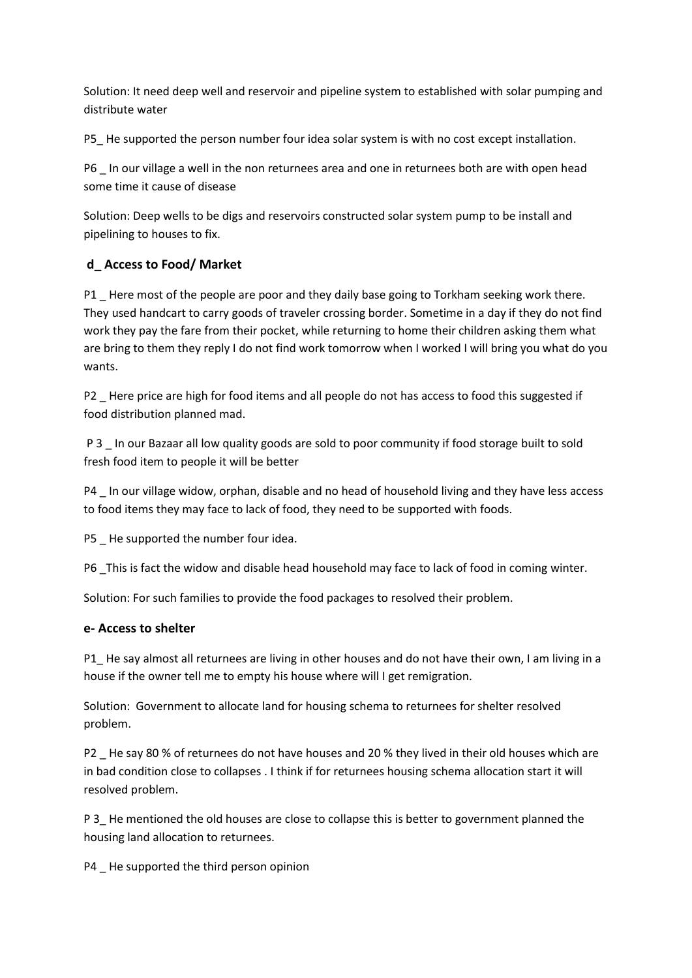Solution: It need deep well and reservoir and pipeline system to established with solar pumping and distribute water

P5\_ He supported the person number four idea solar system is with no cost except installation.

P6 In our village a well in the non returnees area and one in returnees both are with open head some time it cause of disease

Solution: Deep wells to be digs and reservoirs constructed solar system pump to be install and pipelining to houses to fix.

## **d\_ Access to Food/ Market**

P1 Here most of the people are poor and they daily base going to Torkham seeking work there. They used handcart to carry goods of traveler crossing border. Sometime in a day if they do not find work they pay the fare from their pocket, while returning to home their children asking them what are bring to them they reply I do not find work tomorrow when I worked I will bring you what do you wants.

P2 \_ Here price are high for food items and all people do not has access to food this suggested if food distribution planned mad.

P 3 In our Bazaar all low quality goods are sold to poor community if food storage built to sold fresh food item to people it will be better

P4 \_ In our village widow, orphan, disable and no head of household living and they have less access to food items they may face to lack of food, they need to be supported with foods.

P5 He supported the number four idea.

P6 This is fact the widow and disable head household may face to lack of food in coming winter.

Solution: For such families to provide the food packages to resolved their problem.

## **e- Access to shelter**

P1\_ He say almost all returnees are living in other houses and do not have their own, I am living in a house if the owner tell me to empty his house where will I get remigration.

Solution: Government to allocate land for housing schema to returnees for shelter resolved problem.

P2 \_ He say 80 % of returnees do not have houses and 20 % they lived in their old houses which are in bad condition close to collapses . I think if for returnees housing schema allocation start it will resolved problem.

P 3\_ He mentioned the old houses are close to collapse this is better to government planned the housing land allocation to returnees.

P4 He supported the third person opinion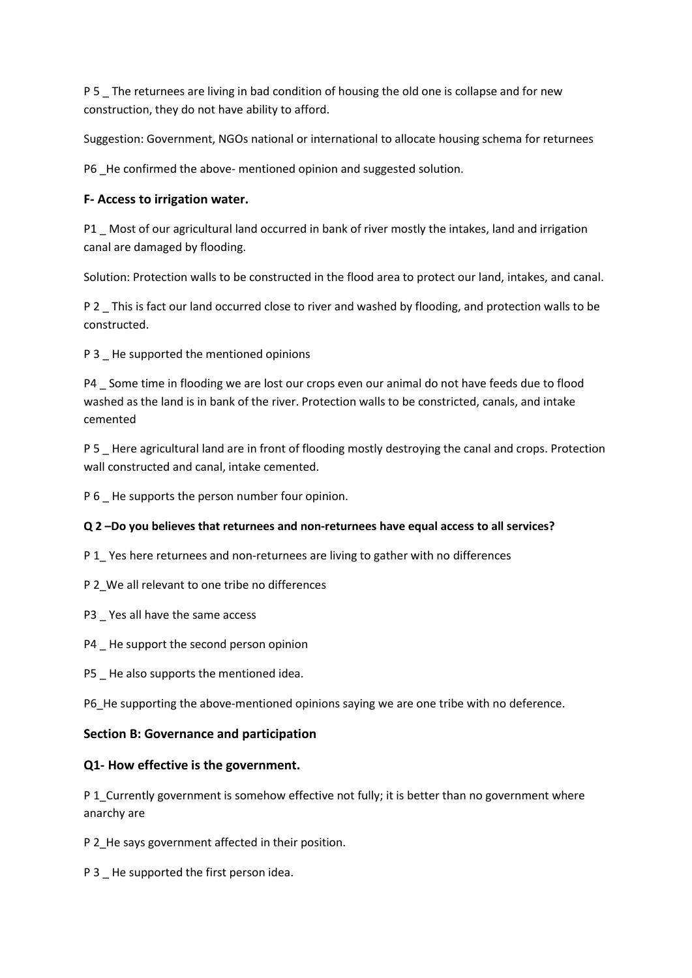P 5 The returnees are living in bad condition of housing the old one is collapse and for new construction, they do not have ability to afford.

Suggestion: Government, NGOs national or international to allocate housing schema for returnees

P6 \_He confirmed the above- mentioned opinion and suggested solution.

## **F- Access to irrigation water.**

P1 Most of our agricultural land occurred in bank of river mostly the intakes, land and irrigation canal are damaged by flooding.

Solution: Protection walls to be constructed in the flood area to protect our land, intakes, and canal.

P 2 \_ This is fact our land occurred close to river and washed by flooding, and protection walls to be constructed.

P 3 He supported the mentioned opinions

P4 \_ Some time in flooding we are lost our crops even our animal do not have feeds due to flood washed as the land is in bank of the river. Protection walls to be constricted, canals, and intake cemented

P 5 \_ Here agricultural land are in front of flooding mostly destroying the canal and crops. Protection wall constructed and canal, intake cemented.

P 6 He supports the person number four opinion.

### **Q 2 –Do you believes that returnees and non-returnees have equal access to all services?**

P 1\_ Yes here returnees and non-returnees are living to gather with no differences

- P 2\_We all relevant to one tribe no differences
- P3 \_ Yes all have the same access
- P4 \_ He support the second person opinion
- P5 \_ He also supports the mentioned idea.

P6 He supporting the above-mentioned opinions saying we are one tribe with no deference.

### **Section B: Governance and participation**

### **Q1- How effective is the government.**

P 1 Currently government is somehow effective not fully; it is better than no government where anarchy are

P 2\_He says government affected in their position.

P 3 He supported the first person idea.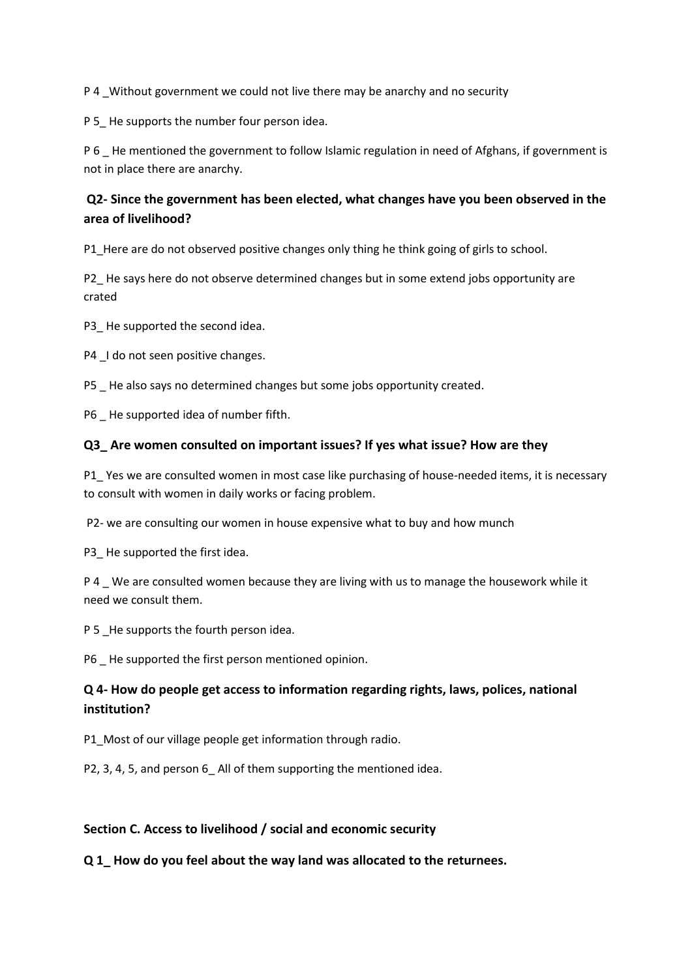P 4 Without government we could not live there may be anarchy and no security

P 5 He supports the number four person idea.

P 6 \_ He mentioned the government to follow Islamic regulation in need of Afghans, if government is not in place there are anarchy.

## **Q2- Since the government has been elected, what changes have you been observed in the area of livelihood?**

P1\_Here are do not observed positive changes only thing he think going of girls to school.

P2 He says here do not observe determined changes but in some extend jobs opportunity are crated

P3 He supported the second idea.

P4  $\_$ I do not seen positive changes.

P5 He also says no determined changes but some jobs opportunity created.

P6 He supported idea of number fifth.

### **Q3\_ Are women consulted on important issues? If yes what issue? How are they**

P1\_ Yes we are consulted women in most case like purchasing of house-needed items, it is necessary to consult with women in daily works or facing problem.

P2- we are consulting our women in house expensive what to buy and how munch

P3 He supported the first idea.

P 4 We are consulted women because they are living with us to manage the housework while it need we consult them.

P 5 He supports the fourth person idea.

P6 \_ He supported the first person mentioned opinion.

## **Q 4- How do people get access to information regarding rights, laws, polices, national institution?**

P1 Most of our village people get information through radio.

P2, 3, 4, 5, and person 6 All of them supporting the mentioned idea.

### **Section C. Access to livelihood / social and economic security**

**Q 1\_ How do you feel about the way land was allocated to the returnees.**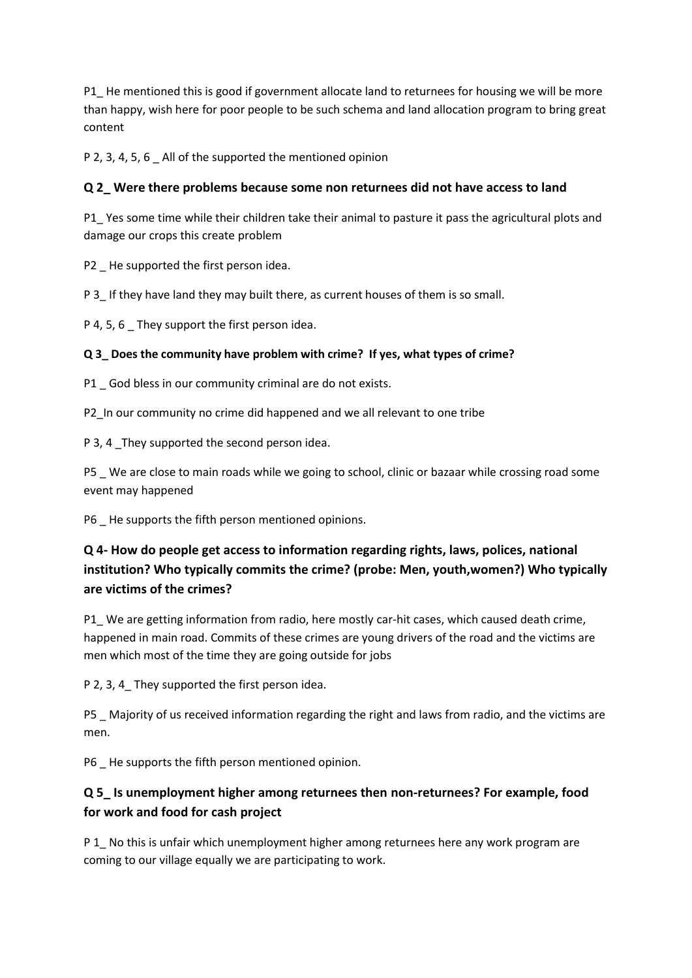P1 He mentioned this is good if government allocate land to returnees for housing we will be more than happy, wish here for poor people to be such schema and land allocation program to bring great content

P 2, 3, 4, 5, 6 All of the supported the mentioned opinion

## **Q 2\_ Were there problems because some non returnees did not have access to land**

P1\_ Yes some time while their children take their animal to pasture it pass the agricultural plots and damage our crops this create problem

P2 He supported the first person idea.

P 3\_ If they have land they may built there, as current houses of them is so small.

P 4, 5, 6 They support the first person idea.

## **Q 3\_ Does the community have problem with crime? If yes, what types of crime?**

P1 God bless in our community criminal are do not exists.

P2 In our community no crime did happened and we all relevant to one tribe

P 3, 4 \_They supported the second person idea.

P5 \_ We are close to main roads while we going to school, clinic or bazaar while crossing road some event may happened

P6 \_ He supports the fifth person mentioned opinions.

# **Q 4- How do people get access to information regarding rights, laws, polices, national institution? Who typically commits the crime? (probe: Men, youth,women?) Who typically are victims of the crimes?**

P1 We are getting information from radio, here mostly car-hit cases, which caused death crime, happened in main road. Commits of these crimes are young drivers of the road and the victims are men which most of the time they are going outside for jobs

P 2, 3, 4 They supported the first person idea.

P5 Majority of us received information regarding the right and laws from radio, and the victims are men.

P6 He supports the fifth person mentioned opinion.

# **Q 5\_ Is unemployment higher among returnees then non-returnees? For example, food for work and food for cash project**

P 1 No this is unfair which unemployment higher among returnees here any work program are coming to our village equally we are participating to work.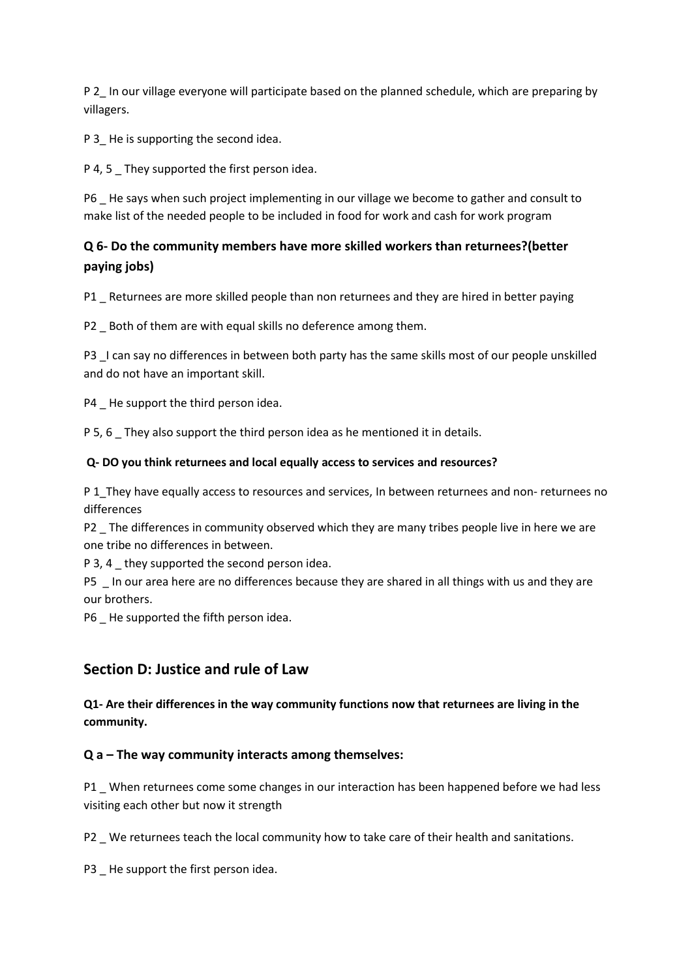P 2 In our village everyone will participate based on the planned schedule, which are preparing by villagers.

P 3 He is supporting the second idea.

P 4, 5 They supported the first person idea.

P6 \_ He says when such project implementing in our village we become to gather and consult to make list of the needed people to be included in food for work and cash for work program

# **Q 6- Do the community members have more skilled workers than returnees?(better paying jobs)**

P1 Returnees are more skilled people than non returnees and they are hired in better paying

P2 Both of them are with equal skills no deference among them.

P3 L can say no differences in between both party has the same skills most of our people unskilled and do not have an important skill.

P4 He support the third person idea.

P 5, 6 They also support the third person idea as he mentioned it in details.

## **Q- DO you think returnees and local equally access to services and resources?**

P 1 They have equally access to resources and services, In between returnees and non- returnees no differences

P2 The differences in community observed which they are many tribes people live in here we are one tribe no differences in between.

P 3, 4 \_ they supported the second person idea.

P5 In our area here are no differences because they are shared in all things with us and they are our brothers.

P6 He supported the fifth person idea.

# **Section D: Justice and rule of Law**

**Q1- Are their differences in the way community functions now that returnees are living in the community.**

## **Q a – The way community interacts among themselves:**

P1 \_ When returnees come some changes in our interaction has been happened before we had less visiting each other but now it strength

P2 We returnees teach the local community how to take care of their health and sanitations.

P3 \_ He support the first person idea.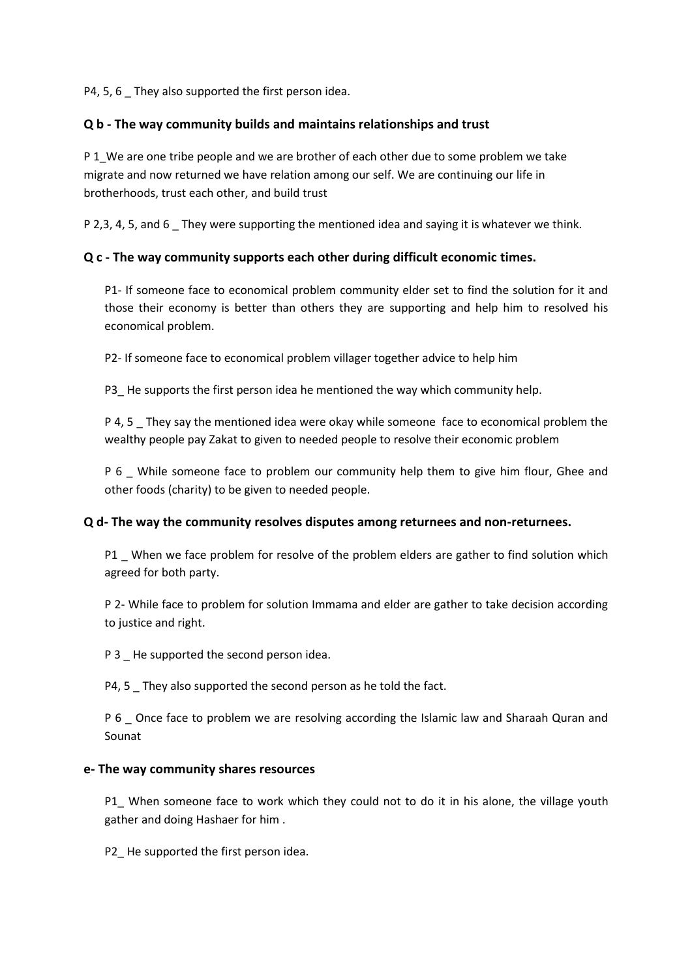P4, 5, 6 They also supported the first person idea.

### **Q b - The way community builds and maintains relationships and trust**

P 1 We are one tribe people and we are brother of each other due to some problem we take migrate and now returned we have relation among our self. We are continuing our life in brotherhoods, trust each other, and build trust

P 2,3, 4, 5, and 6 \_ They were supporting the mentioned idea and saying it is whatever we think.

### **Q c - The way community supports each other during difficult economic times.**

P1- If someone face to economical problem community elder set to find the solution for it and those their economy is better than others they are supporting and help him to resolved his economical problem.

P2- If someone face to economical problem villager together advice to help him

P3 He supports the first person idea he mentioned the way which community help.

P 4, 5 \_ They say the mentioned idea were okay while someone face to economical problem the wealthy people pay Zakat to given to needed people to resolve their economic problem

P 6 While someone face to problem our community help them to give him flour, Ghee and other foods (charity) to be given to needed people.

### **Q d- The way the community resolves disputes among returnees and non-returnees.**

P1 When we face problem for resolve of the problem elders are gather to find solution which agreed for both party.

P 2- While face to problem for solution Immama and elder are gather to take decision according to justice and right.

P 3 He supported the second person idea.

P4, 5 They also supported the second person as he told the fact.

P 6 Once face to problem we are resolving according the Islamic law and Sharaah Quran and Sounat

#### **e- The way community shares resources**

P1 When someone face to work which they could not to do it in his alone, the village youth gather and doing Hashaer for him .

P2 He supported the first person idea.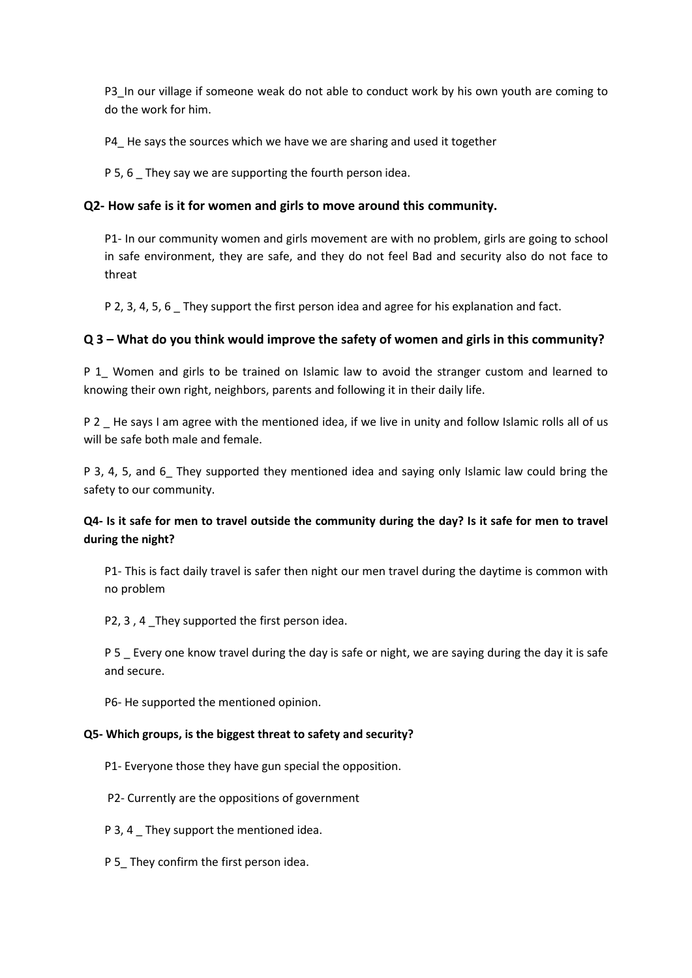P3 In our village if someone weak do not able to conduct work by his own youth are coming to do the work for him.

P4 He says the sources which we have we are sharing and used it together

P 5, 6 They say we are supporting the fourth person idea.

## **Q2- How safe is it for women and girls to move around this community.**

P1- In our community women and girls movement are with no problem, girls are going to school in safe environment, they are safe, and they do not feel Bad and security also do not face to threat

P 2, 3, 4, 5, 6 They support the first person idea and agree for his explanation and fact.

## **Q 3 – What do you think would improve the safety of women and girls in this community?**

P 1\_ Women and girls to be trained on Islamic law to avoid the stranger custom and learned to knowing their own right, neighbors, parents and following it in their daily life.

P 2 He says I am agree with the mentioned idea, if we live in unity and follow Islamic rolls all of us will be safe both male and female.

P 3, 4, 5, and 6 They supported they mentioned idea and saying only Islamic law could bring the safety to our community.

## **Q4- Is it safe for men to travel outside the community during the day? Is it safe for men to travel during the night?**

P1- This is fact daily travel is safer then night our men travel during the daytime is common with no problem

P2, 3 , 4 \_They supported the first person idea.

P 5 \_ Every one know travel during the day is safe or night, we are saying during the day it is safe and secure.

P6- He supported the mentioned opinion.

### **Q5- Which groups, is the biggest threat to safety and security?**

- P1- Everyone those they have gun special the opposition.
- P2- Currently are the oppositions of government
- P 3, 4 \_ They support the mentioned idea.
- P 5\_ They confirm the first person idea.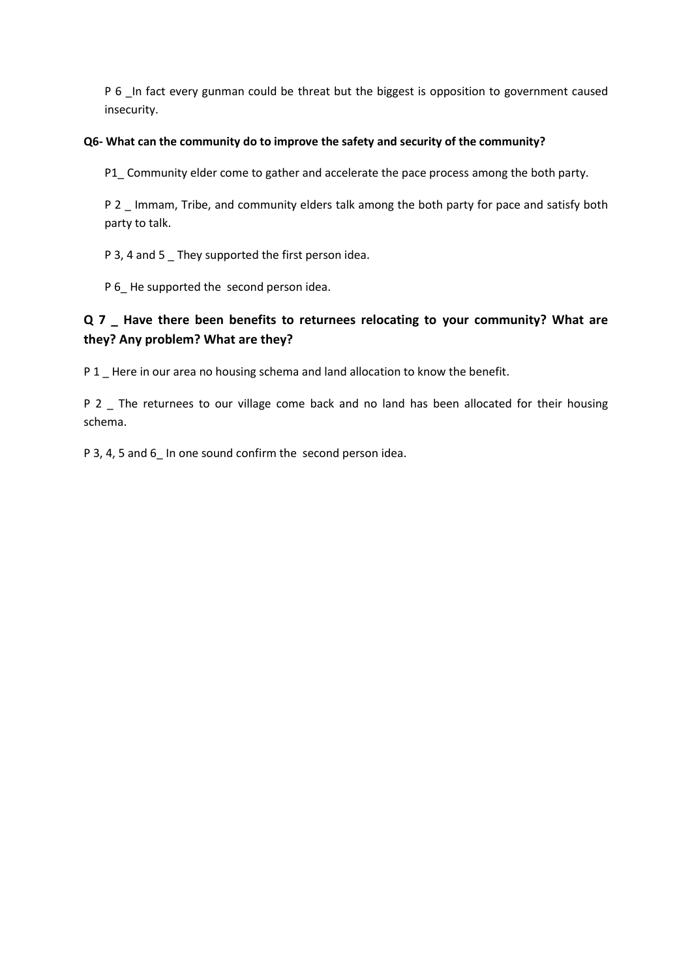P 6 In fact every gunman could be threat but the biggest is opposition to government caused insecurity.

### **Q6- What can the community do to improve the safety and security of the community?**

P1\_ Community elder come to gather and accelerate the pace process among the both party.

P 2 Immam, Tribe, and community elders talk among the both party for pace and satisfy both party to talk.

P 3, 4 and 5 \_ They supported the first person idea.

P 6\_He supported the second person idea.

# **Q 7 \_ Have there been benefits to returnees relocating to your community? What are they? Any problem? What are they?**

P 1 \_ Here in our area no housing schema and land allocation to know the benefit.

P 2 The returnees to our village come back and no land has been allocated for their housing schema.

P 3, 4, 5 and 6\_ In one sound confirm the second person idea.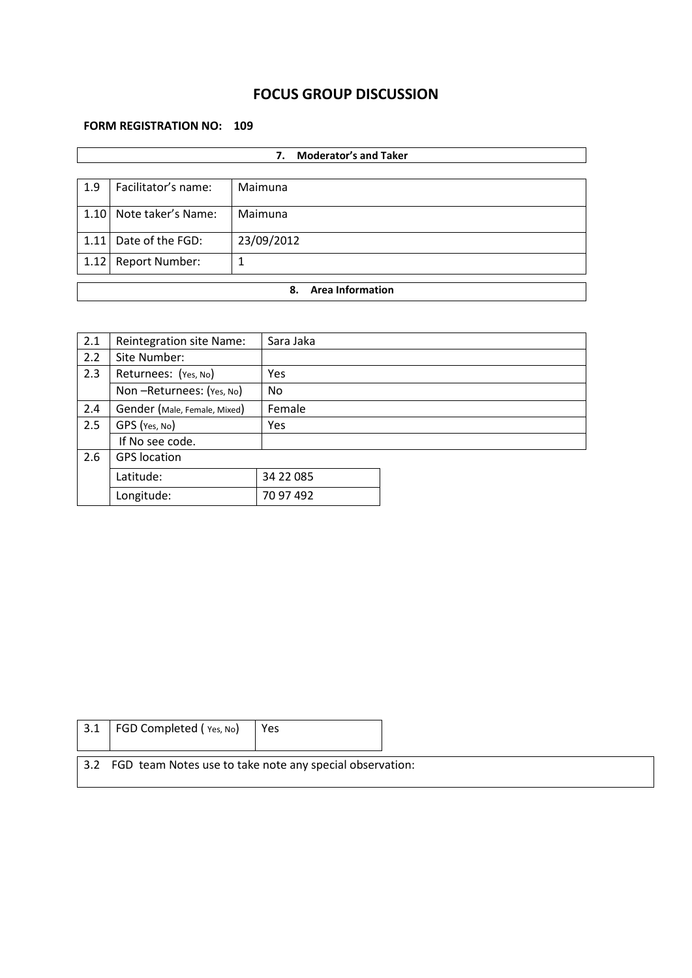# **FOCUS GROUP DISCUSSION**

### **FORM REGISTRATION NO: 109**

|      | <b>Moderator's and Taker</b><br>7. |            |  |  |  |
|------|------------------------------------|------------|--|--|--|
|      |                                    |            |  |  |  |
| 1.9  | Facilitator's name:                | Maimuna    |  |  |  |
| 1.10 | Note taker's Name:                 | Maimuna    |  |  |  |
| 1.11 | Date of the FGD:                   | 23/09/2012 |  |  |  |
| 1.12 | <b>Report Number:</b>              | 1          |  |  |  |
|      |                                    |            |  |  |  |
|      | <b>Area Information</b><br>8.      |            |  |  |  |

| 2.1 | Reintegration site Name:     | Sara Jaka  |  |
|-----|------------------------------|------------|--|
| 2.2 | Site Number:                 |            |  |
| 2.3 | Returnees: (Yes, No)         | <b>Yes</b> |  |
|     | Non-Returnees: (Yes, No)     | No         |  |
| 2.4 | Gender (Male, Female, Mixed) | Female     |  |
| 2.5 | GPS (Yes, No)                | Yes        |  |
|     | If No see code.              |            |  |
| 2.6 | <b>GPS</b> location          |            |  |
|     | Latitude:                    | 34 22 085  |  |
|     | Longitude:                   | 70 97 492  |  |

| $\vert$ 3.1 FGD Completed (Yes, No)                          | Yes |  |
|--------------------------------------------------------------|-----|--|
| 3.2 FGD team Notes use to take note any special observation: |     |  |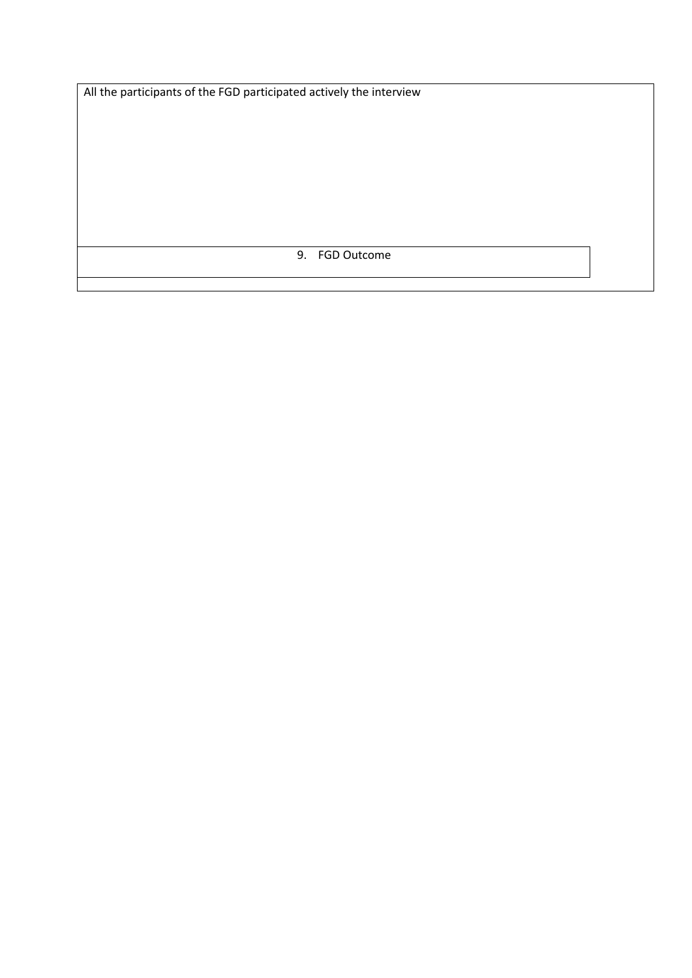All the participants of the FGD participated actively the interview

9. FGD Outcome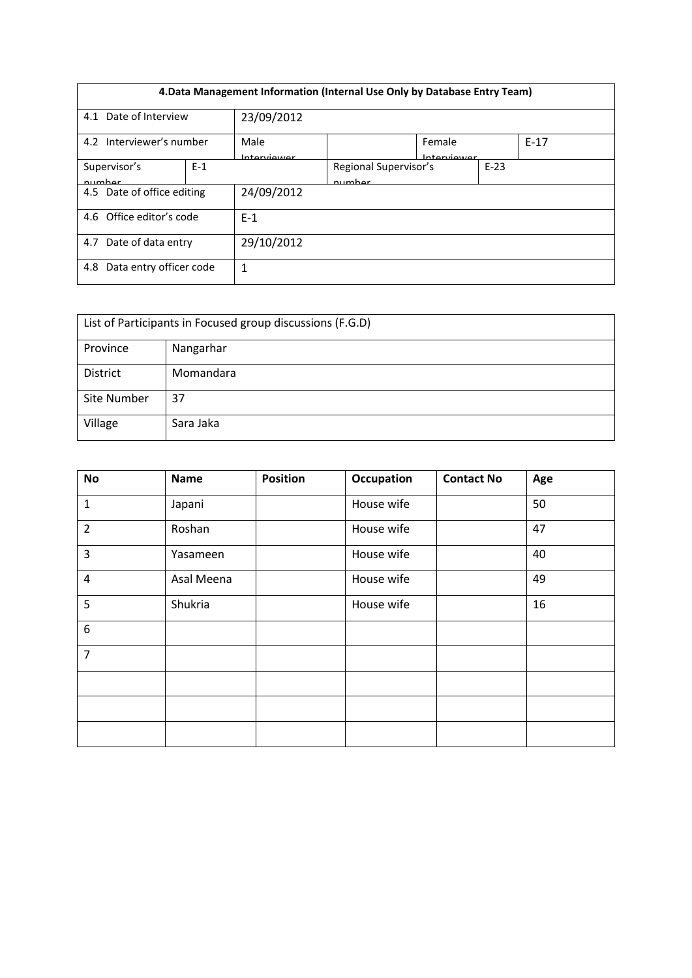| 4. Data Management Information (Internal Use Only by Database Entry Team) |  |                     |                                 |                       |        |        |  |
|---------------------------------------------------------------------------|--|---------------------|---------------------------------|-----------------------|--------|--------|--|
| Date of Interview<br>4.1                                                  |  | 23/09/2012          |                                 |                       |        |        |  |
| 4.2 Interviewer's number                                                  |  | Male<br>Interviewer |                                 | Female<br>Interviewer |        | $F-17$ |  |
| $E-1$<br>Supervisor's<br>numhar                                           |  |                     | Regional Supervisor's<br>numhar |                       | $E-23$ |        |  |
| 4.5 Date of office editing                                                |  | 24/09/2012          |                                 |                       |        |        |  |
| 4.6 Office editor's code                                                  |  | $E-1$               |                                 |                       |        |        |  |
| Date of data entry<br>4.7                                                 |  | 29/10/2012          |                                 |                       |        |        |  |
| Data entry officer code<br>4.8                                            |  | 1                   |                                 |                       |        |        |  |

| List of Participants in Focused group discussions (F.G.D) |           |  |  |  |  |
|-----------------------------------------------------------|-----------|--|--|--|--|
| Province                                                  | Nangarhar |  |  |  |  |
| District                                                  | Momandara |  |  |  |  |
| Site Number                                               | 37        |  |  |  |  |
| Village                                                   | Sara Jaka |  |  |  |  |

| <b>No</b>        | <b>Name</b> | <b>Position</b> | Occupation | <b>Contact No</b> | Age |
|------------------|-------------|-----------------|------------|-------------------|-----|
| $\mathbf 1$      | Japani      |                 | House wife |                   | 50  |
| $\overline{2}$   | Roshan      |                 | House wife |                   | 47  |
| 3                | Yasameen    |                 | House wife |                   | 40  |
| $\overline{4}$   | Asal Meena  |                 | House wife |                   | 49  |
| 5                | Shukria     |                 | House wife |                   | 16  |
| $\boldsymbol{6}$ |             |                 |            |                   |     |
| $\overline{7}$   |             |                 |            |                   |     |
|                  |             |                 |            |                   |     |
|                  |             |                 |            |                   |     |
|                  |             |                 |            |                   |     |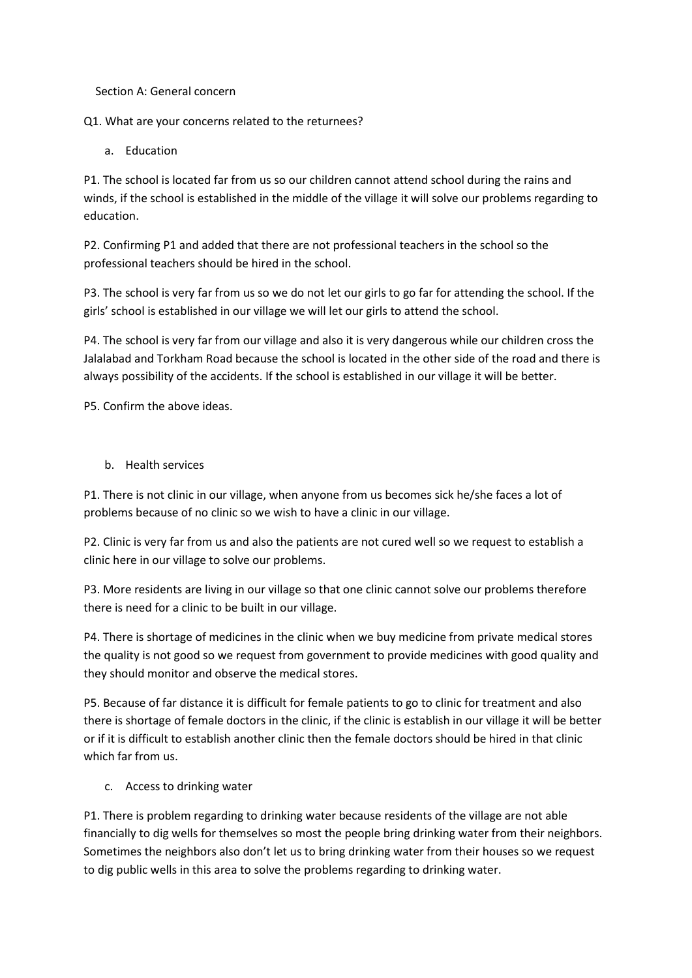Section A: General concern

Q1. What are your concerns related to the returnees?

a. Education

P1. The school is located far from us so our children cannot attend school during the rains and winds, if the school is established in the middle of the village it will solve our problems regarding to education.

P2. Confirming P1 and added that there are not professional teachers in the school so the professional teachers should be hired in the school.

P3. The school is very far from us so we do not let our girls to go far for attending the school. If the girls' school is established in our village we will let our girls to attend the school.

P4. The school is very far from our village and also it is very dangerous while our children cross the Jalalabad and Torkham Road because the school is located in the other side of the road and there is always possibility of the accidents. If the school is established in our village it will be better.

P5. Confirm the above ideas.

b. Health services

P1. There is not clinic in our village, when anyone from us becomes sick he/she faces a lot of problems because of no clinic so we wish to have a clinic in our village.

P2. Clinic is very far from us and also the patients are not cured well so we request to establish a clinic here in our village to solve our problems.

P3. More residents are living in our village so that one clinic cannot solve our problems therefore there is need for a clinic to be built in our village.

P4. There is shortage of medicines in the clinic when we buy medicine from private medical stores the quality is not good so we request from government to provide medicines with good quality and they should monitor and observe the medical stores.

P5. Because of far distance it is difficult for female patients to go to clinic for treatment and also there is shortage of female doctors in the clinic, if the clinic is establish in our village it will be better or if it is difficult to establish another clinic then the female doctors should be hired in that clinic which far from us.

c. Access to drinking water

P1. There is problem regarding to drinking water because residents of the village are not able financially to dig wells for themselves so most the people bring drinking water from their neighbors. Sometimes the neighbors also don't let us to bring drinking water from their houses so we request to dig public wells in this area to solve the problems regarding to drinking water.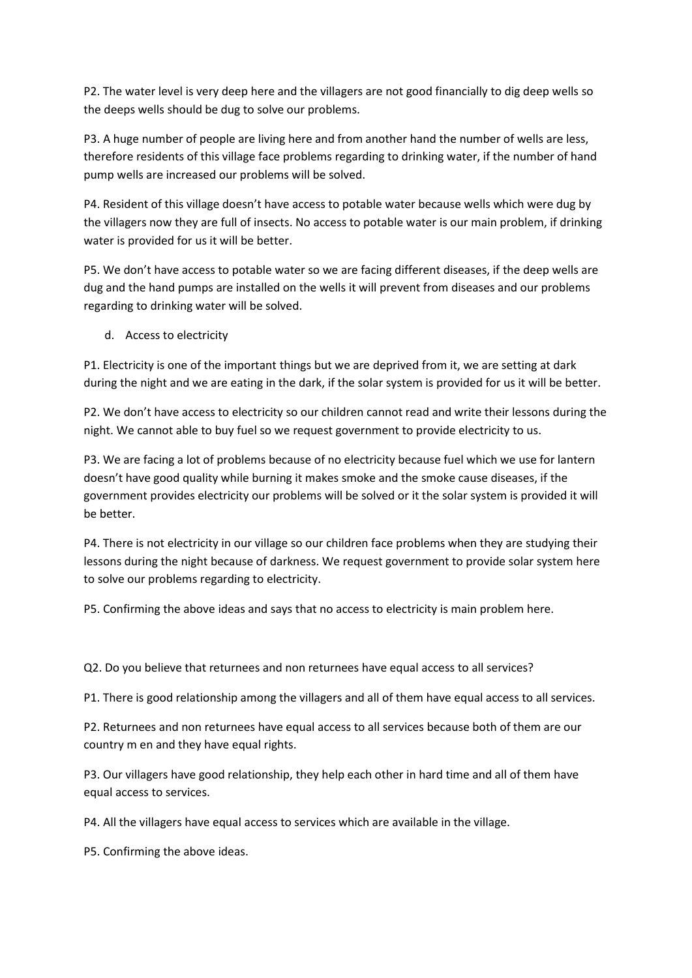P2. The water level is very deep here and the villagers are not good financially to dig deep wells so the deeps wells should be dug to solve our problems.

P3. A huge number of people are living here and from another hand the number of wells are less, therefore residents of this village face problems regarding to drinking water, if the number of hand pump wells are increased our problems will be solved.

P4. Resident of this village doesn't have access to potable water because wells which were dug by the villagers now they are full of insects. No access to potable water is our main problem, if drinking water is provided for us it will be better.

P5. We don't have access to potable water so we are facing different diseases, if the deep wells are dug and the hand pumps are installed on the wells it will prevent from diseases and our problems regarding to drinking water will be solved.

d. Access to electricity

P1. Electricity is one of the important things but we are deprived from it, we are setting at dark during the night and we are eating in the dark, if the solar system is provided for us it will be better.

P2. We don't have access to electricity so our children cannot read and write their lessons during the night. We cannot able to buy fuel so we request government to provide electricity to us.

P3. We are facing a lot of problems because of no electricity because fuel which we use for lantern doesn't have good quality while burning it makes smoke and the smoke cause diseases, if the government provides electricity our problems will be solved or it the solar system is provided it will be better.

P4. There is not electricity in our village so our children face problems when they are studying their lessons during the night because of darkness. We request government to provide solar system here to solve our problems regarding to electricity.

P5. Confirming the above ideas and says that no access to electricity is main problem here.

Q2. Do you believe that returnees and non returnees have equal access to all services?

P1. There is good relationship among the villagers and all of them have equal access to all services.

P2. Returnees and non returnees have equal access to all services because both of them are our country m en and they have equal rights.

P3. Our villagers have good relationship, they help each other in hard time and all of them have equal access to services.

P4. All the villagers have equal access to services which are available in the village.

P5. Confirming the above ideas.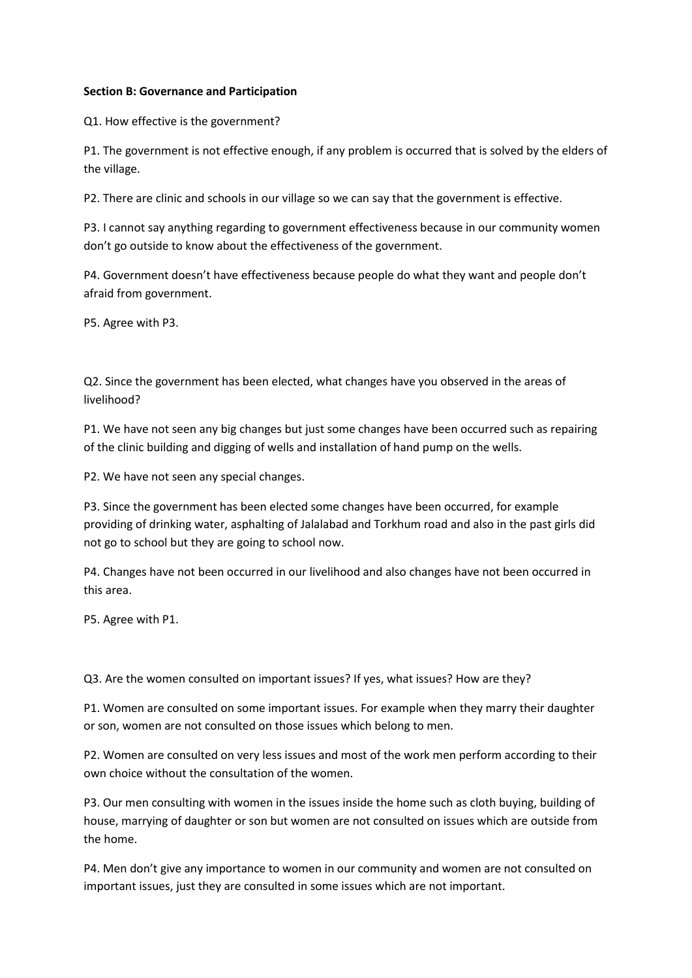#### **Section B: Governance and Participation**

Q1. How effective is the government?

P1. The government is not effective enough, if any problem is occurred that is solved by the elders of the village.

P2. There are clinic and schools in our village so we can say that the government is effective.

P3. I cannot say anything regarding to government effectiveness because in our community women don't go outside to know about the effectiveness of the government.

P4. Government doesn't have effectiveness because people do what they want and people don't afraid from government.

P5. Agree with P3.

Q2. Since the government has been elected, what changes have you observed in the areas of livelihood?

P1. We have not seen any big changes but just some changes have been occurred such as repairing of the clinic building and digging of wells and installation of hand pump on the wells.

P2. We have not seen any special changes.

P3. Since the government has been elected some changes have been occurred, for example providing of drinking water, asphalting of Jalalabad and Torkhum road and also in the past girls did not go to school but they are going to school now.

P4. Changes have not been occurred in our livelihood and also changes have not been occurred in this area.

P5. Agree with P1.

Q3. Are the women consulted on important issues? If yes, what issues? How are they?

P1. Women are consulted on some important issues. For example when they marry their daughter or son, women are not consulted on those issues which belong to men.

P2. Women are consulted on very less issues and most of the work men perform according to their own choice without the consultation of the women.

P3. Our men consulting with women in the issues inside the home such as cloth buying, building of house, marrying of daughter or son but women are not consulted on issues which are outside from the home.

P4. Men don't give any importance to women in our community and women are not consulted on important issues, just they are consulted in some issues which are not important.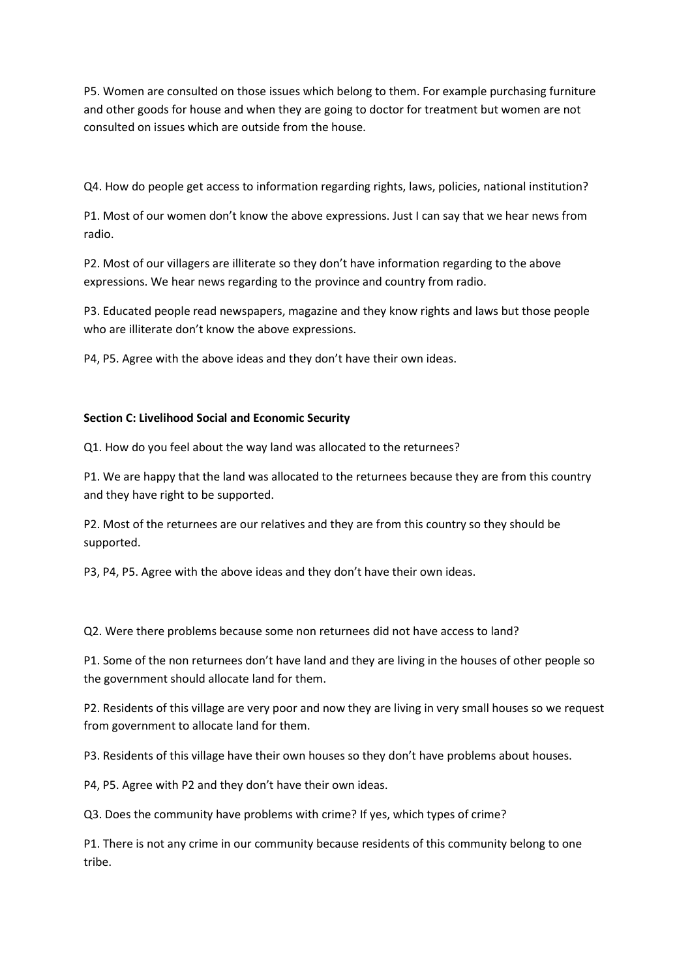P5. Women are consulted on those issues which belong to them. For example purchasing furniture and other goods for house and when they are going to doctor for treatment but women are not consulted on issues which are outside from the house.

Q4. How do people get access to information regarding rights, laws, policies, national institution?

P1. Most of our women don't know the above expressions. Just I can say that we hear news from radio.

P2. Most of our villagers are illiterate so they don't have information regarding to the above expressions. We hear news regarding to the province and country from radio.

P3. Educated people read newspapers, magazine and they know rights and laws but those people who are illiterate don't know the above expressions.

P4, P5. Agree with the above ideas and they don't have their own ideas.

#### **Section C: Livelihood Social and Economic Security**

Q1. How do you feel about the way land was allocated to the returnees?

P1. We are happy that the land was allocated to the returnees because they are from this country and they have right to be supported.

P2. Most of the returnees are our relatives and they are from this country so they should be supported.

P3, P4, P5. Agree with the above ideas and they don't have their own ideas.

Q2. Were there problems because some non returnees did not have access to land?

P1. Some of the non returnees don't have land and they are living in the houses of other people so the government should allocate land for them.

P2. Residents of this village are very poor and now they are living in very small houses so we request from government to allocate land for them.

P3. Residents of this village have their own houses so they don't have problems about houses.

P4, P5. Agree with P2 and they don't have their own ideas.

Q3. Does the community have problems with crime? If yes, which types of crime?

P1. There is not any crime in our community because residents of this community belong to one tribe.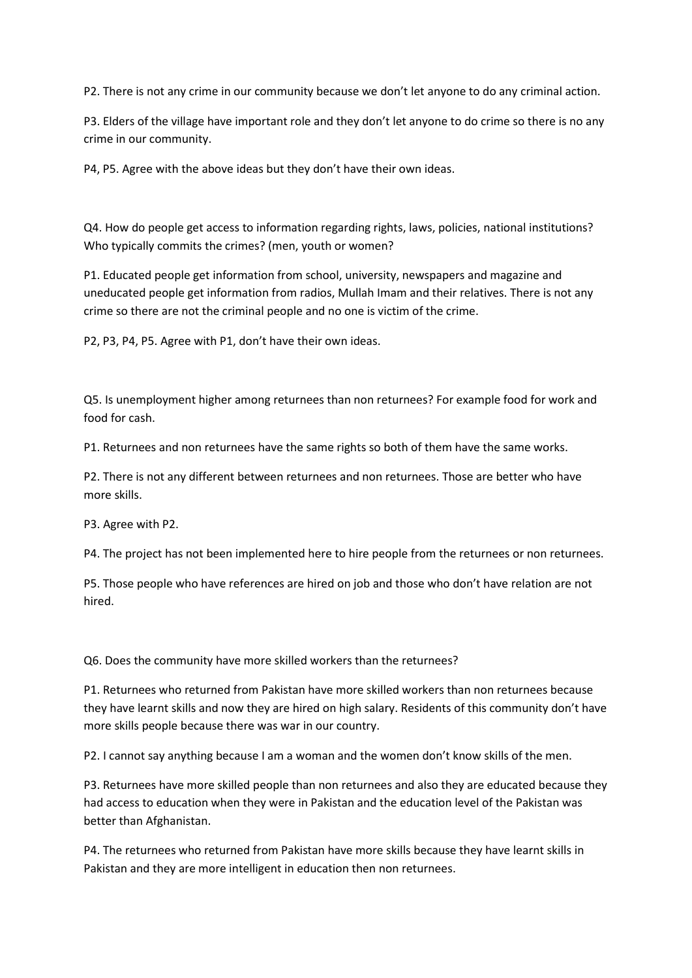P2. There is not any crime in our community because we don't let anyone to do any criminal action.

P3. Elders of the village have important role and they don't let anyone to do crime so there is no any crime in our community.

P4, P5. Agree with the above ideas but they don't have their own ideas.

Q4. How do people get access to information regarding rights, laws, policies, national institutions? Who typically commits the crimes? (men, youth or women?

P1. Educated people get information from school, university, newspapers and magazine and uneducated people get information from radios, Mullah Imam and their relatives. There is not any crime so there are not the criminal people and no one is victim of the crime.

P2, P3, P4, P5. Agree with P1, don't have their own ideas.

Q5. Is unemployment higher among returnees than non returnees? For example food for work and food for cash.

P1. Returnees and non returnees have the same rights so both of them have the same works.

P2. There is not any different between returnees and non returnees. Those are better who have more skills.

P3. Agree with P2.

P4. The project has not been implemented here to hire people from the returnees or non returnees.

P5. Those people who have references are hired on job and those who don't have relation are not hired.

Q6. Does the community have more skilled workers than the returnees?

P1. Returnees who returned from Pakistan have more skilled workers than non returnees because they have learnt skills and now they are hired on high salary. Residents of this community don't have more skills people because there was war in our country.

P2. I cannot say anything because I am a woman and the women don't know skills of the men.

P3. Returnees have more skilled people than non returnees and also they are educated because they had access to education when they were in Pakistan and the education level of the Pakistan was better than Afghanistan.

P4. The returnees who returned from Pakistan have more skills because they have learnt skills in Pakistan and they are more intelligent in education then non returnees.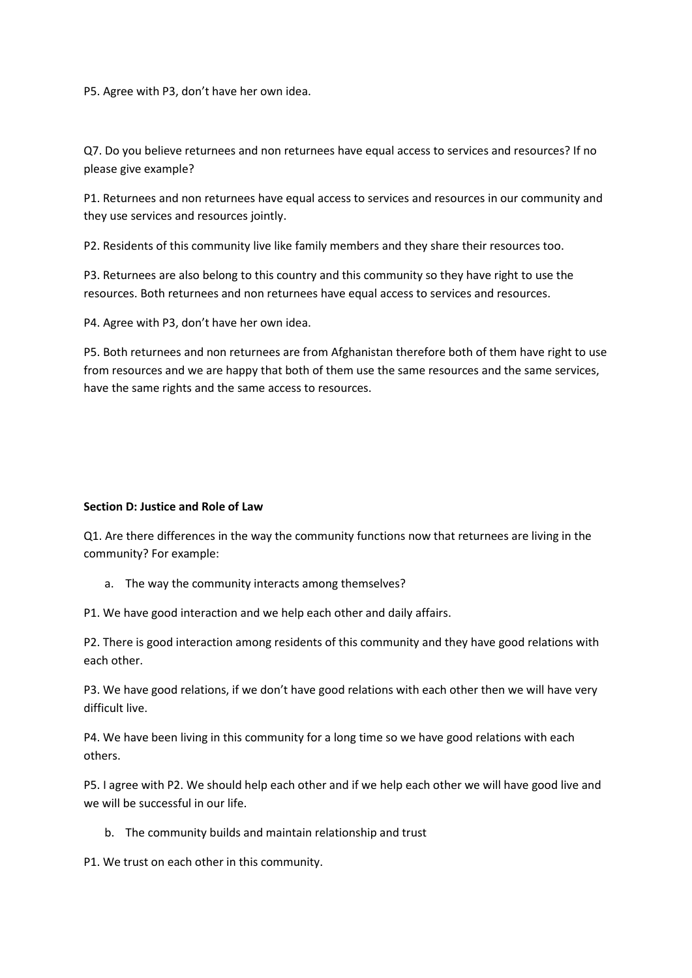P5. Agree with P3, don't have her own idea.

Q7. Do you believe returnees and non returnees have equal access to services and resources? If no please give example?

P1. Returnees and non returnees have equal access to services and resources in our community and they use services and resources jointly.

P2. Residents of this community live like family members and they share their resources too.

P3. Returnees are also belong to this country and this community so they have right to use the resources. Both returnees and non returnees have equal access to services and resources.

P4. Agree with P3, don't have her own idea.

P5. Both returnees and non returnees are from Afghanistan therefore both of them have right to use from resources and we are happy that both of them use the same resources and the same services, have the same rights and the same access to resources.

#### **Section D: Justice and Role of Law**

Q1. Are there differences in the way the community functions now that returnees are living in the community? For example:

a. The way the community interacts among themselves?

P1. We have good interaction and we help each other and daily affairs.

P2. There is good interaction among residents of this community and they have good relations with each other.

P3. We have good relations, if we don't have good relations with each other then we will have very difficult live.

P4. We have been living in this community for a long time so we have good relations with each others.

P5. I agree with P2. We should help each other and if we help each other we will have good live and we will be successful in our life.

b. The community builds and maintain relationship and trust

P1. We trust on each other in this community.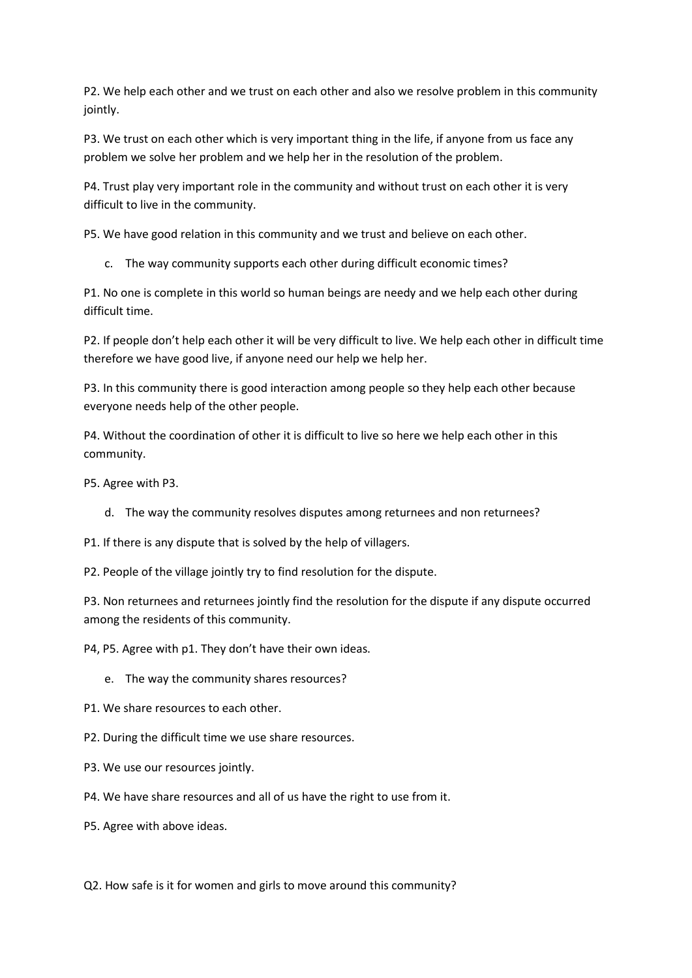P2. We help each other and we trust on each other and also we resolve problem in this community jointly.

P3. We trust on each other which is very important thing in the life, if anyone from us face any problem we solve her problem and we help her in the resolution of the problem.

P4. Trust play very important role in the community and without trust on each other it is very difficult to live in the community.

P5. We have good relation in this community and we trust and believe on each other.

c. The way community supports each other during difficult economic times?

P1. No one is complete in this world so human beings are needy and we help each other during difficult time.

P2. If people don't help each other it will be very difficult to live. We help each other in difficult time therefore we have good live, if anyone need our help we help her.

P3. In this community there is good interaction among people so they help each other because everyone needs help of the other people.

P4. Without the coordination of other it is difficult to live so here we help each other in this community.

P5. Agree with P3.

d. The way the community resolves disputes among returnees and non returnees?

P1. If there is any dispute that is solved by the help of villagers.

P2. People of the village jointly try to find resolution for the dispute.

P3. Non returnees and returnees jointly find the resolution for the dispute if any dispute occurred among the residents of this community.

P4, P5. Agree with p1. They don't have their own ideas.

e. The way the community shares resources?

P1. We share resources to each other.

P2. During the difficult time we use share resources.

- P3. We use our resources jointly.
- P4. We have share resources and all of us have the right to use from it.
- P5. Agree with above ideas.

Q2. How safe is it for women and girls to move around this community?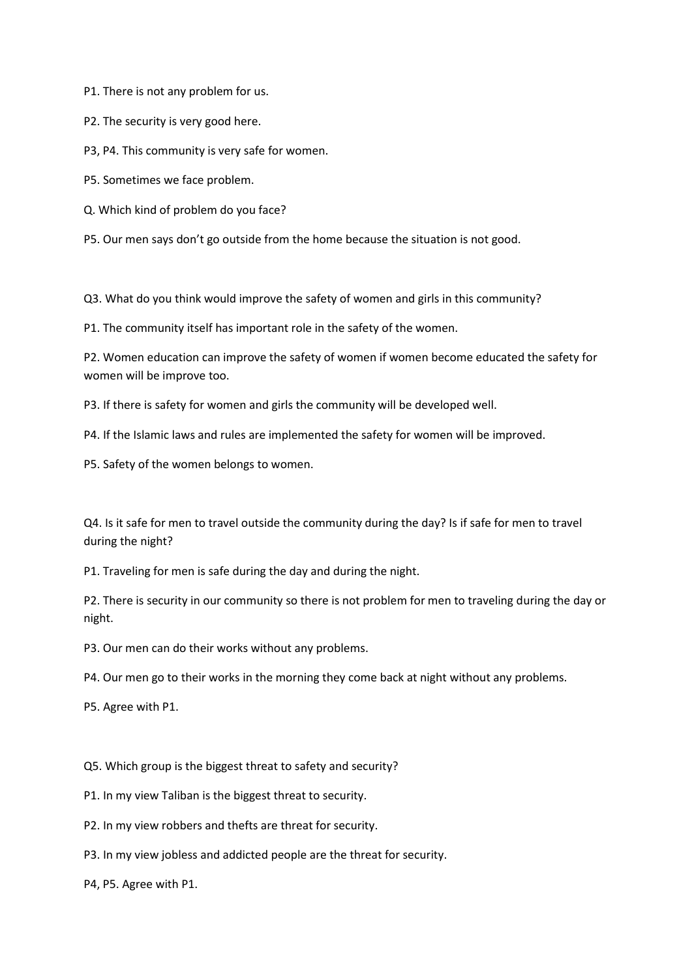P1. There is not any problem for us.

P2. The security is very good here.

P3, P4. This community is very safe for women.

P5. Sometimes we face problem.

Q. Which kind of problem do you face?

P5. Our men says don't go outside from the home because the situation is not good.

Q3. What do you think would improve the safety of women and girls in this community?

P1. The community itself has important role in the safety of the women.

P2. Women education can improve the safety of women if women become educated the safety for women will be improve too.

P3. If there is safety for women and girls the community will be developed well.

P4. If the Islamic laws and rules are implemented the safety for women will be improved.

P5. Safety of the women belongs to women.

Q4. Is it safe for men to travel outside the community during the day? Is if safe for men to travel during the night?

P1. Traveling for men is safe during the day and during the night.

P2. There is security in our community so there is not problem for men to traveling during the day or night.

P3. Our men can do their works without any problems.

P4. Our men go to their works in the morning they come back at night without any problems.

P5. Agree with P1.

Q5. Which group is the biggest threat to safety and security?

P1. In my view Taliban is the biggest threat to security.

P2. In my view robbers and thefts are threat for security.

P3. In my view jobless and addicted people are the threat for security.

P4, P5. Agree with P1.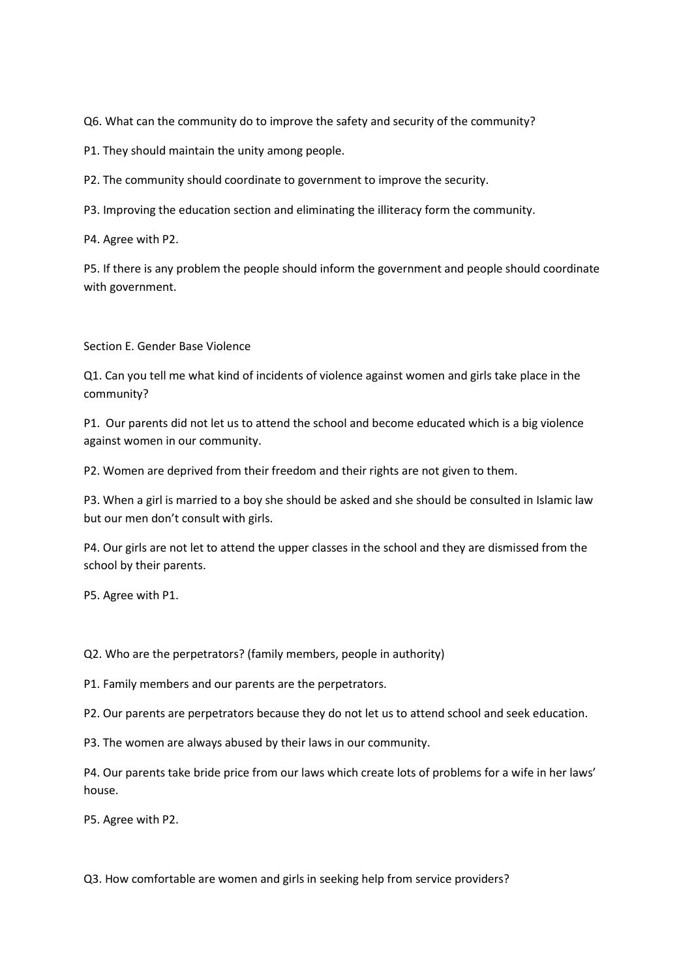Q6. What can the community do to improve the safety and security of the community?

P1. They should maintain the unity among people.

P2. The community should coordinate to government to improve the security.

P3. Improving the education section and eliminating the illiteracy form the community.

P4. Agree with P2.

P5. If there is any problem the people should inform the government and people should coordinate with government.

Section E. Gender Base Violence

Q1. Can you tell me what kind of incidents of violence against women and girls take place in the community?

P1. Our parents did not let us to attend the school and become educated which is a big violence against women in our community.

P2. Women are deprived from their freedom and their rights are not given to them.

P3. When a girl is married to a boy she should be asked and she should be consulted in Islamic law but our men don't consult with girls.

P4. Our girls are not let to attend the upper classes in the school and they are dismissed from the school by their parents.

P5. Agree with P1.

Q2. Who are the perpetrators? (family members, people in authority)

P1. Family members and our parents are the perpetrators.

P2. Our parents are perpetrators because they do not let us to attend school and seek education.

P3. The women are always abused by their laws in our community.

P4. Our parents take bride price from our laws which create lots of problems for a wife in her laws' house.

P5. Agree with P2.

Q3. How comfortable are women and girls in seeking help from service providers?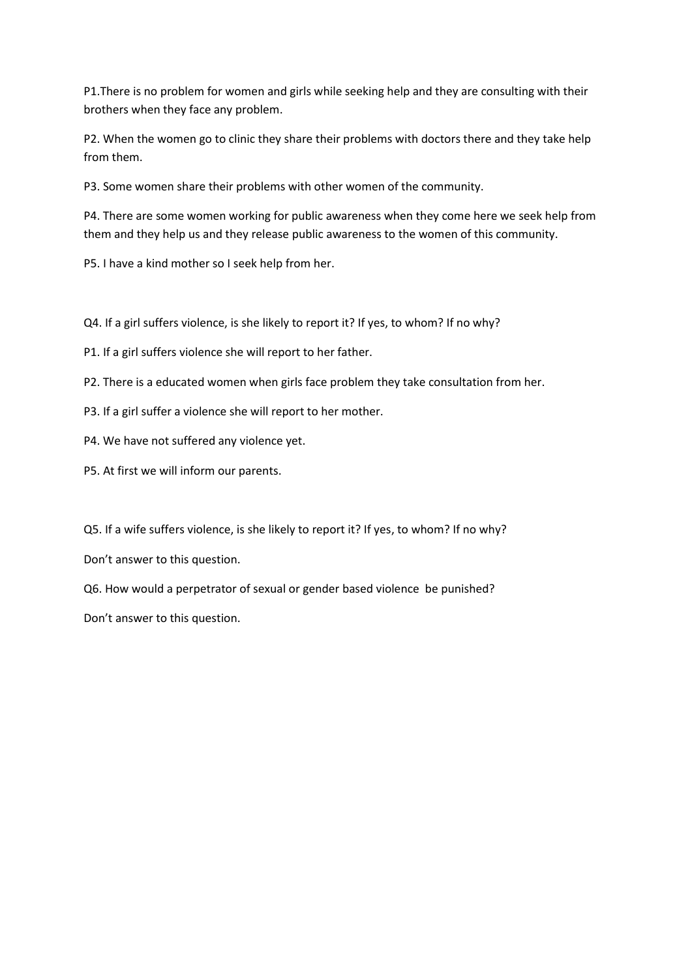P1.There is no problem for women and girls while seeking help and they are consulting with their brothers when they face any problem.

P2. When the women go to clinic they share their problems with doctors there and they take help from them.

P3. Some women share their problems with other women of the community.

P4. There are some women working for public awareness when they come here we seek help from them and they help us and they release public awareness to the women of this community.

P5. I have a kind mother so I seek help from her.

Q4. If a girl suffers violence, is she likely to report it? If yes, to whom? If no why?

P1. If a girl suffers violence she will report to her father.

P2. There is a educated women when girls face problem they take consultation from her.

P3. If a girl suffer a violence she will report to her mother.

P4. We have not suffered any violence yet.

P5. At first we will inform our parents.

Q5. If a wife suffers violence, is she likely to report it? If yes, to whom? If no why?

Don't answer to this question.

Q6. How would a perpetrator of sexual or gender based violence be punished?

Don't answer to this question.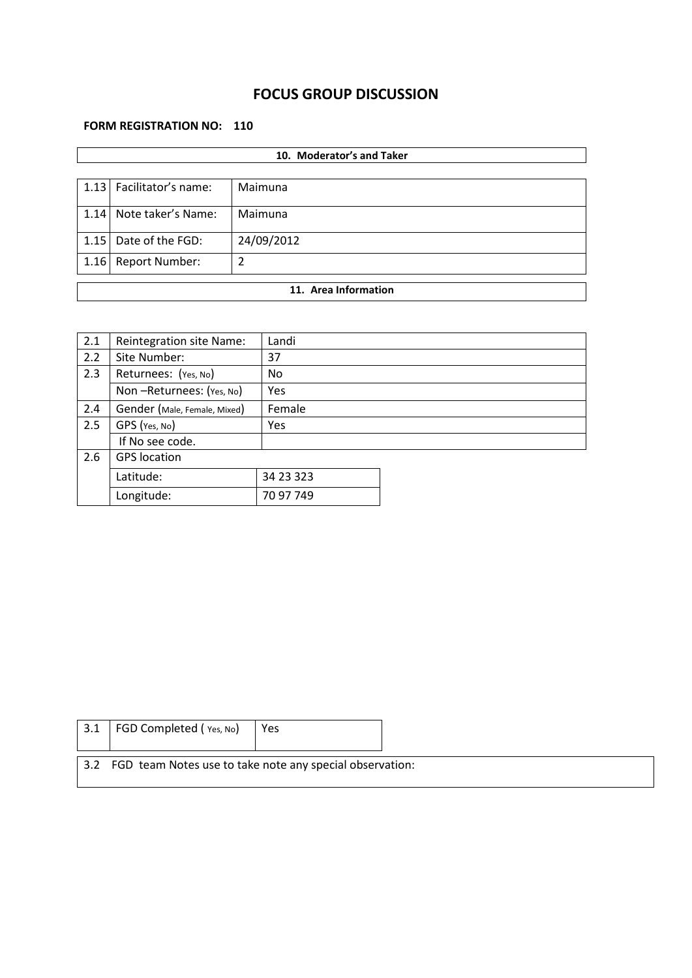# **FOCUS GROUP DISCUSSION**

### **FORM REGISTRATION NO: 110**

|                      | 10. Moderator's and Taker  |            |  |  |  |  |
|----------------------|----------------------------|------------|--|--|--|--|
|                      |                            |            |  |  |  |  |
|                      | 1.13   Facilitator's name: | Maimuna    |  |  |  |  |
| 1.14                 | Note taker's Name:         | Maimuna    |  |  |  |  |
| 1.15                 | Date of the FGD:           | 24/09/2012 |  |  |  |  |
| 1.16                 | <b>Report Number:</b>      | 2          |  |  |  |  |
| 11. Area Information |                            |            |  |  |  |  |
|                      |                            |            |  |  |  |  |

| 2.1 | Reintegration site Name:     | Landi      |  |
|-----|------------------------------|------------|--|
| 2.2 | Site Number:                 | 37         |  |
| 2.3 | Returnees: (Yes, No)         | No         |  |
|     | Non-Returnees: (Yes, No)     | Yes        |  |
| 2.4 | Gender (Male, Female, Mixed) | Female     |  |
| 2.5 | GPS (Yes, No)                | <b>Yes</b> |  |
|     | If No see code.              |            |  |
| 2.6 | <b>GPS</b> location          |            |  |
|     | Latitude:                    | 34 23 323  |  |
|     | Longitude:                   | 70 97 749  |  |

| 3.1 | FGD Completed (Yes, No)                                      | Yes |  |
|-----|--------------------------------------------------------------|-----|--|
|     | 3.2 FGD team Notes use to take note any special observation: |     |  |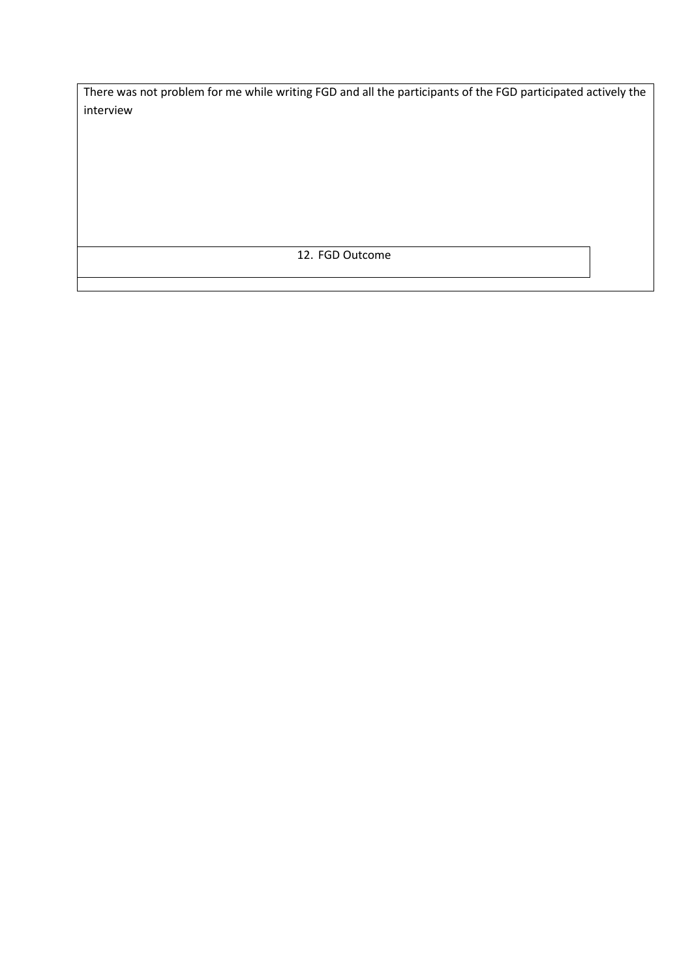There was not problem for me while writing FGD and all the participants of the FGD participated actively the interview

12. FGD Outcome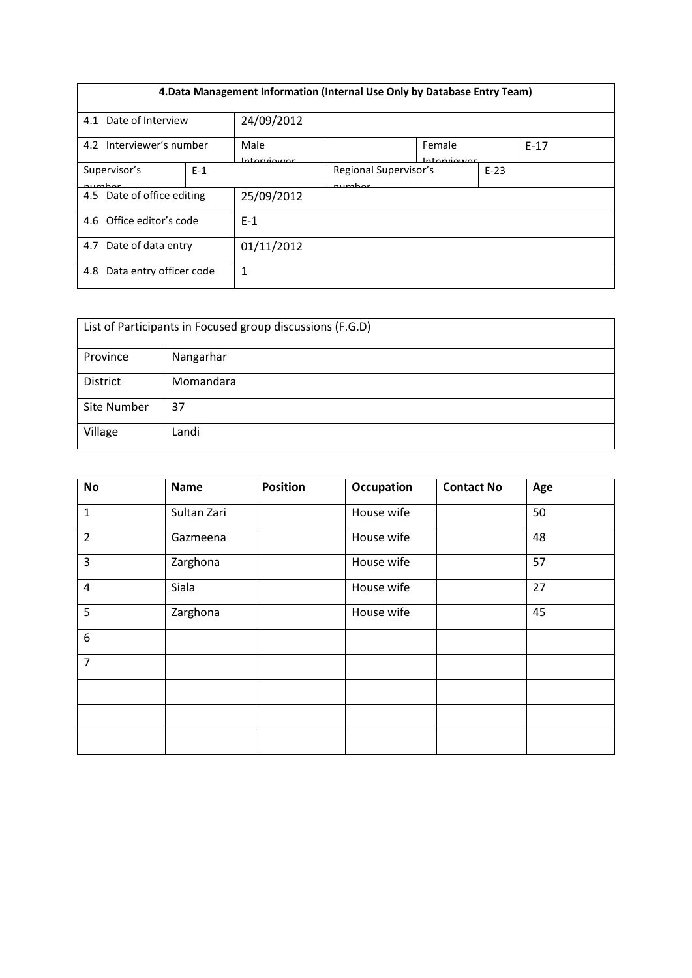| 4. Data Management Information (Internal Use Only by Database Entry Team) |                                 |                     |                                           |  |  |  |  |
|---------------------------------------------------------------------------|---------------------------------|---------------------|-------------------------------------------|--|--|--|--|
| 4.1                                                                       | 24/09/2012<br>Date of Interview |                     |                                           |  |  |  |  |
| 4.2 Interviewer's number                                                  |                                 | Male<br>Intraniouor | Female<br>$E-17$<br>Intraniiouwr          |  |  |  |  |
| $E-1$<br>Supervisor's<br>numhar                                           |                                 |                     | Regional Supervisor's<br>$E-23$<br>numhar |  |  |  |  |
| 4.5 Date of office editing                                                |                                 | 25/09/2012          |                                           |  |  |  |  |
| 4.6 Office editor's code                                                  |                                 | $F-1$               |                                           |  |  |  |  |
| Date of data entry<br>4.7                                                 | 01/11/2012                      |                     |                                           |  |  |  |  |
| Data entry officer code<br>4.8                                            |                                 | 1                   |                                           |  |  |  |  |

| List of Participants in Focused group discussions (F.G.D) |           |  |  |  |  |
|-----------------------------------------------------------|-----------|--|--|--|--|
| Province                                                  | Nangarhar |  |  |  |  |
| District                                                  | Momandara |  |  |  |  |
| Site Number<br>37                                         |           |  |  |  |  |
| Village                                                   | Landi     |  |  |  |  |

| <b>No</b>      | <b>Name</b> | <b>Position</b> | <b>Occupation</b> | <b>Contact No</b> | Age |
|----------------|-------------|-----------------|-------------------|-------------------|-----|
| $\mathbf 1$    | Sultan Zari |                 | House wife        |                   | 50  |
| $\overline{2}$ | Gazmeena    |                 | House wife        |                   | 48  |
| $\overline{3}$ | Zarghona    |                 | House wife        |                   | 57  |
| $\overline{4}$ | Siala       |                 | House wife        |                   | 27  |
| 5              | Zarghona    |                 | House wife        |                   | 45  |
| 6              |             |                 |                   |                   |     |
| $\overline{7}$ |             |                 |                   |                   |     |
|                |             |                 |                   |                   |     |
|                |             |                 |                   |                   |     |
|                |             |                 |                   |                   |     |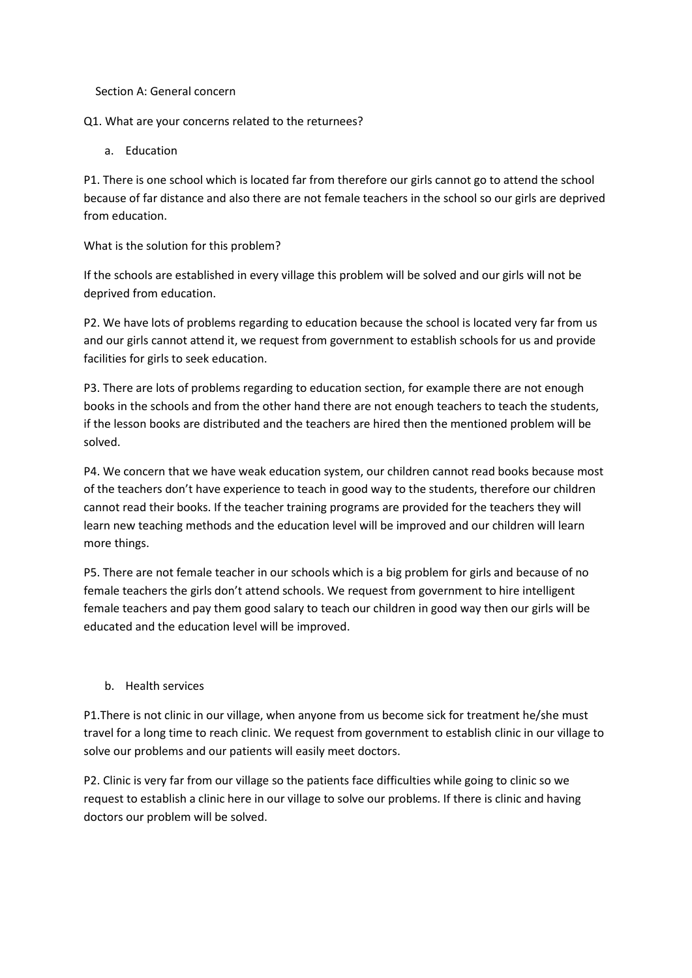Section A: General concern

Q1. What are your concerns related to the returnees?

a. Education

P1. There is one school which is located far from therefore our girls cannot go to attend the school because of far distance and also there are not female teachers in the school so our girls are deprived from education.

What is the solution for this problem?

If the schools are established in every village this problem will be solved and our girls will not be deprived from education.

P2. We have lots of problems regarding to education because the school is located very far from us and our girls cannot attend it, we request from government to establish schools for us and provide facilities for girls to seek education.

P3. There are lots of problems regarding to education section, for example there are not enough books in the schools and from the other hand there are not enough teachers to teach the students, if the lesson books are distributed and the teachers are hired then the mentioned problem will be solved.

P4. We concern that we have weak education system, our children cannot read books because most of the teachers don't have experience to teach in good way to the students, therefore our children cannot read their books. If the teacher training programs are provided for the teachers they will learn new teaching methods and the education level will be improved and our children will learn more things.

P5. There are not female teacher in our schools which is a big problem for girls and because of no female teachers the girls don't attend schools. We request from government to hire intelligent female teachers and pay them good salary to teach our children in good way then our girls will be educated and the education level will be improved.

### b. Health services

P1.There is not clinic in our village, when anyone from us become sick for treatment he/she must travel for a long time to reach clinic. We request from government to establish clinic in our village to solve our problems and our patients will easily meet doctors.

P2. Clinic is very far from our village so the patients face difficulties while going to clinic so we request to establish a clinic here in our village to solve our problems. If there is clinic and having doctors our problem will be solved.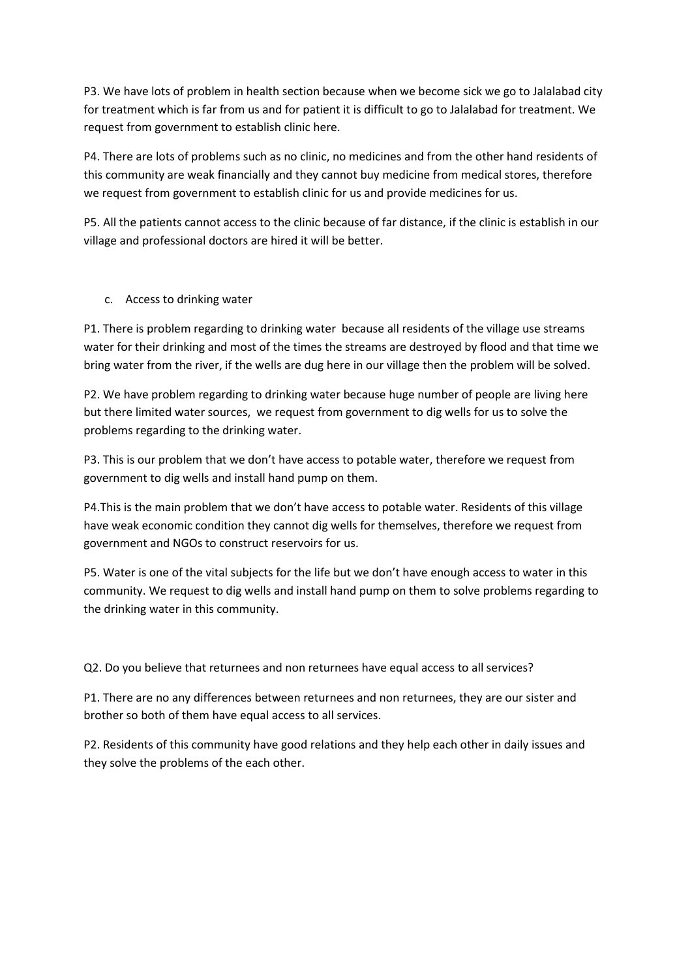P3. We have lots of problem in health section because when we become sick we go to Jalalabad city for treatment which is far from us and for patient it is difficult to go to Jalalabad for treatment. We request from government to establish clinic here.

P4. There are lots of problems such as no clinic, no medicines and from the other hand residents of this community are weak financially and they cannot buy medicine from medical stores, therefore we request from government to establish clinic for us and provide medicines for us.

P5. All the patients cannot access to the clinic because of far distance, if the clinic is establish in our village and professional doctors are hired it will be better.

c. Access to drinking water

P1. There is problem regarding to drinking water because all residents of the village use streams water for their drinking and most of the times the streams are destroyed by flood and that time we bring water from the river, if the wells are dug here in our village then the problem will be solved.

P2. We have problem regarding to drinking water because huge number of people are living here but there limited water sources, we request from government to dig wells for us to solve the problems regarding to the drinking water.

P3. This is our problem that we don't have access to potable water, therefore we request from government to dig wells and install hand pump on them.

P4.This is the main problem that we don't have access to potable water. Residents of this village have weak economic condition they cannot dig wells for themselves, therefore we request from government and NGOs to construct reservoirs for us.

P5. Water is one of the vital subjects for the life but we don't have enough access to water in this community. We request to dig wells and install hand pump on them to solve problems regarding to the drinking water in this community.

Q2. Do you believe that returnees and non returnees have equal access to all services?

P1. There are no any differences between returnees and non returnees, they are our sister and brother so both of them have equal access to all services.

P2. Residents of this community have good relations and they help each other in daily issues and they solve the problems of the each other.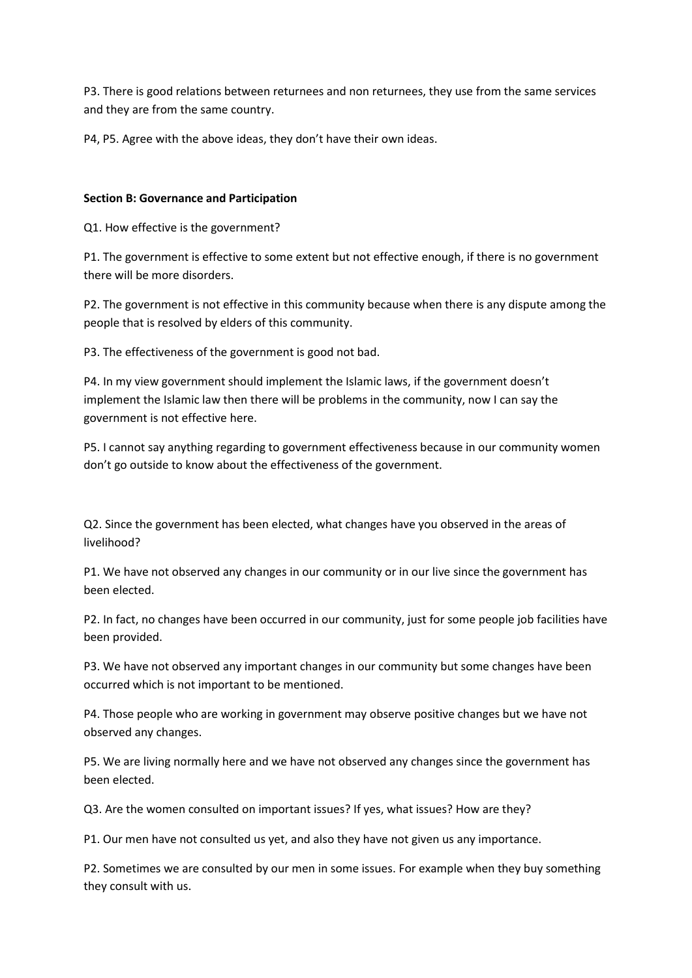P3. There is good relations between returnees and non returnees, they use from the same services and they are from the same country.

P4, P5. Agree with the above ideas, they don't have their own ideas.

#### **Section B: Governance and Participation**

Q1. How effective is the government?

P1. The government is effective to some extent but not effective enough, if there is no government there will be more disorders.

P2. The government is not effective in this community because when there is any dispute among the people that is resolved by elders of this community.

P3. The effectiveness of the government is good not bad.

P4. In my view government should implement the Islamic laws, if the government doesn't implement the Islamic law then there will be problems in the community, now I can say the government is not effective here.

P5. I cannot say anything regarding to government effectiveness because in our community women don't go outside to know about the effectiveness of the government.

Q2. Since the government has been elected, what changes have you observed in the areas of livelihood?

P1. We have not observed any changes in our community or in our live since the government has been elected.

P2. In fact, no changes have been occurred in our community, just for some people job facilities have been provided.

P3. We have not observed any important changes in our community but some changes have been occurred which is not important to be mentioned.

P4. Those people who are working in government may observe positive changes but we have not observed any changes.

P5. We are living normally here and we have not observed any changes since the government has been elected.

Q3. Are the women consulted on important issues? If yes, what issues? How are they?

P1. Our men have not consulted us yet, and also they have not given us any importance.

P2. Sometimes we are consulted by our men in some issues. For example when they buy something they consult with us.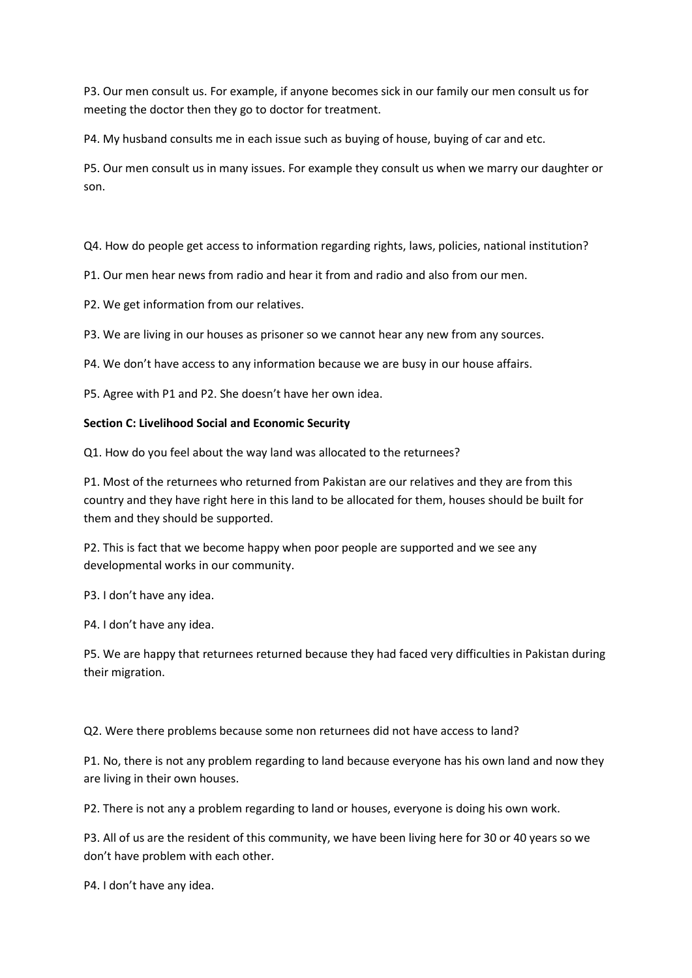P3. Our men consult us. For example, if anyone becomes sick in our family our men consult us for meeting the doctor then they go to doctor for treatment.

P4. My husband consults me in each issue such as buying of house, buying of car and etc.

P5. Our men consult us in many issues. For example they consult us when we marry our daughter or son.

Q4. How do people get access to information regarding rights, laws, policies, national institution?

P1. Our men hear news from radio and hear it from and radio and also from our men.

P2. We get information from our relatives.

P3. We are living in our houses as prisoner so we cannot hear any new from any sources.

P4. We don't have access to any information because we are busy in our house affairs.

P5. Agree with P1 and P2. She doesn't have her own idea.

#### **Section C: Livelihood Social and Economic Security**

Q1. How do you feel about the way land was allocated to the returnees?

P1. Most of the returnees who returned from Pakistan are our relatives and they are from this country and they have right here in this land to be allocated for them, houses should be built for them and they should be supported.

P2. This is fact that we become happy when poor people are supported and we see any developmental works in our community.

P3. I don't have any idea.

P4. I don't have any idea.

P5. We are happy that returnees returned because they had faced very difficulties in Pakistan during their migration.

Q2. Were there problems because some non returnees did not have access to land?

P1. No, there is not any problem regarding to land because everyone has his own land and now they are living in their own houses.

P2. There is not any a problem regarding to land or houses, everyone is doing his own work.

P3. All of us are the resident of this community, we have been living here for 30 or 40 years so we don't have problem with each other.

P4. I don't have any idea.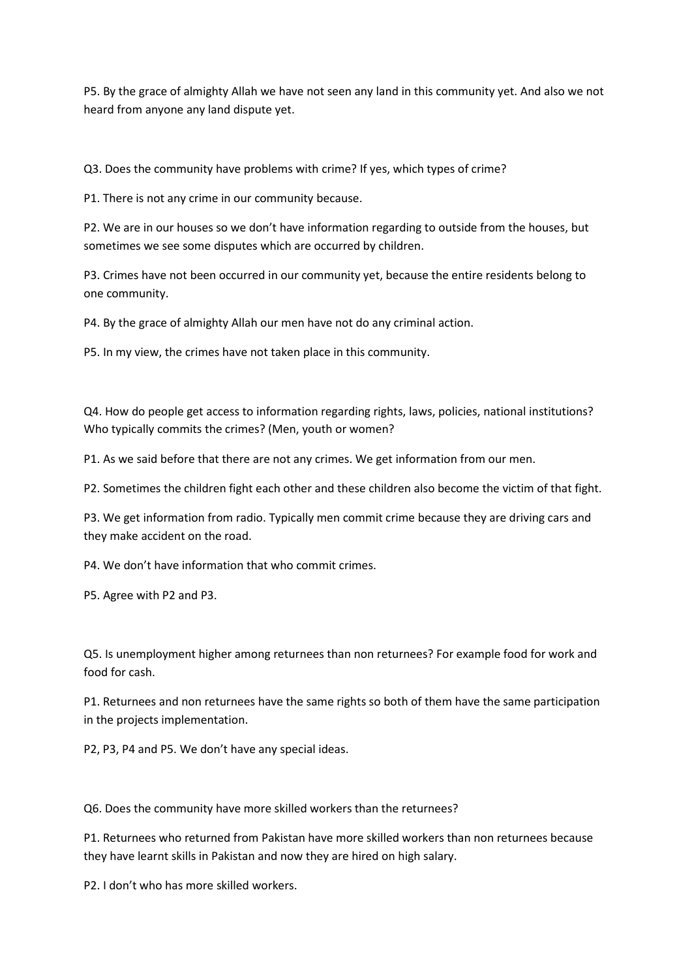P5. By the grace of almighty Allah we have not seen any land in this community yet. And also we not heard from anyone any land dispute yet.

Q3. Does the community have problems with crime? If yes, which types of crime?

P1. There is not any crime in our community because.

P2. We are in our houses so we don't have information regarding to outside from the houses, but sometimes we see some disputes which are occurred by children.

P3. Crimes have not been occurred in our community yet, because the entire residents belong to one community.

P4. By the grace of almighty Allah our men have not do any criminal action.

P5. In my view, the crimes have not taken place in this community.

Q4. How do people get access to information regarding rights, laws, policies, national institutions? Who typically commits the crimes? (Men, youth or women?

P1. As we said before that there are not any crimes. We get information from our men.

P2. Sometimes the children fight each other and these children also become the victim of that fight.

P3. We get information from radio. Typically men commit crime because they are driving cars and they make accident on the road.

P4. We don't have information that who commit crimes.

P5. Agree with P2 and P3.

Q5. Is unemployment higher among returnees than non returnees? For example food for work and food for cash.

P1. Returnees and non returnees have the same rights so both of them have the same participation in the projects implementation.

P2, P3, P4 and P5. We don't have any special ideas.

Q6. Does the community have more skilled workers than the returnees?

P1. Returnees who returned from Pakistan have more skilled workers than non returnees because they have learnt skills in Pakistan and now they are hired on high salary.

P2. I don't who has more skilled workers.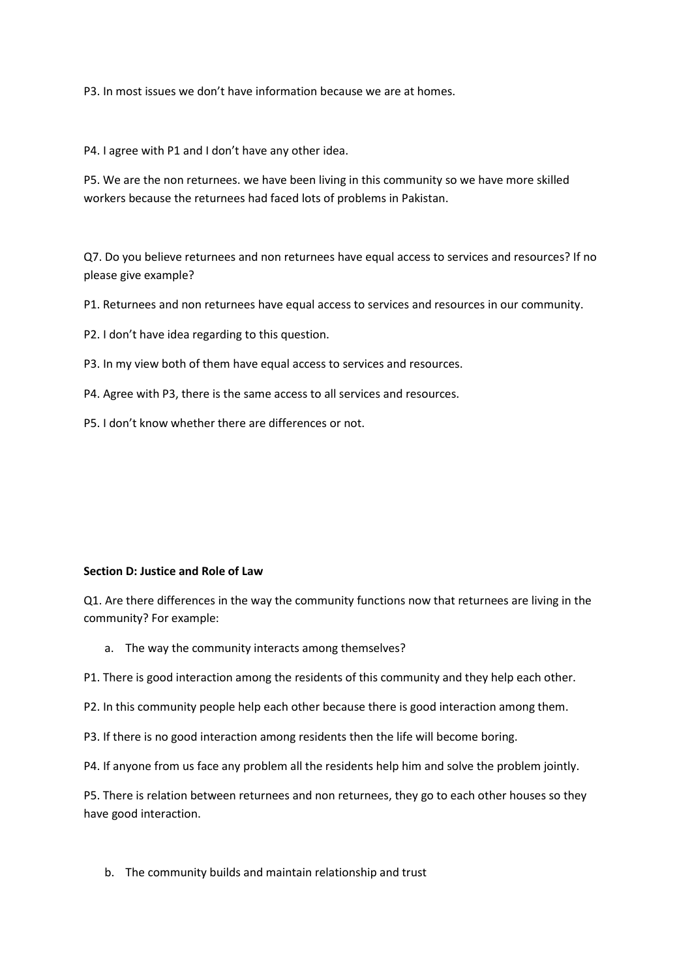P3. In most issues we don't have information because we are at homes.

P4. I agree with P1 and I don't have any other idea.

P5. We are the non returnees. we have been living in this community so we have more skilled workers because the returnees had faced lots of problems in Pakistan.

Q7. Do you believe returnees and non returnees have equal access to services and resources? If no please give example?

P1. Returnees and non returnees have equal access to services and resources in our community.

P2. I don't have idea regarding to this question.

P3. In my view both of them have equal access to services and resources.

- P4. Agree with P3, there is the same access to all services and resources.
- P5. I don't know whether there are differences or not.

#### **Section D: Justice and Role of Law**

Q1. Are there differences in the way the community functions now that returnees are living in the community? For example:

a. The way the community interacts among themselves?

P1. There is good interaction among the residents of this community and they help each other.

P2. In this community people help each other because there is good interaction among them.

P3. If there is no good interaction among residents then the life will become boring.

P4. If anyone from us face any problem all the residents help him and solve the problem jointly.

P5. There is relation between returnees and non returnees, they go to each other houses so they have good interaction.

b. The community builds and maintain relationship and trust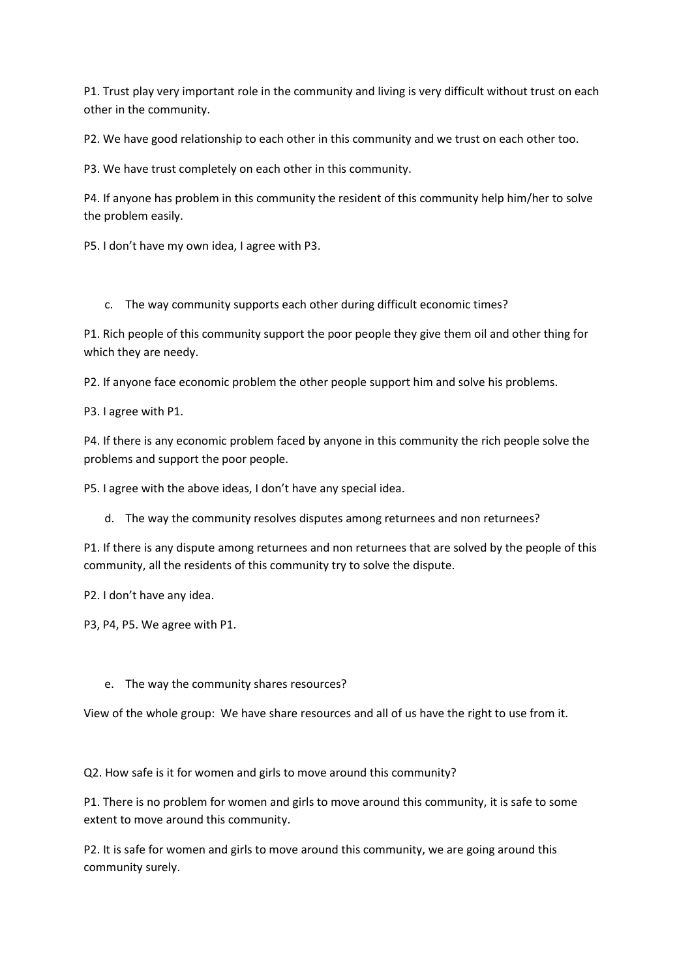P1. Trust play very important role in the community and living is very difficult without trust on each other in the community.

P2. We have good relationship to each other in this community and we trust on each other too.

P3. We have trust completely on each other in this community.

P4. If anyone has problem in this community the resident of this community help him/her to solve the problem easily.

P5. I don't have my own idea, I agree with P3.

c. The way community supports each other during difficult economic times?

P1. Rich people of this community support the poor people they give them oil and other thing for which they are needy.

P2. If anyone face economic problem the other people support him and solve his problems.

P3. I agree with P1.

P4. If there is any economic problem faced by anyone in this community the rich people solve the problems and support the poor people.

P5. I agree with the above ideas, I don't have any special idea.

d. The way the community resolves disputes among returnees and non returnees?

P1. If there is any dispute among returnees and non returnees that are solved by the people of this community, all the residents of this community try to solve the dispute.

P2. I don't have any idea.

P3, P4, P5. We agree with P1.

### e. The way the community shares resources?

View of the whole group: We have share resources and all of us have the right to use from it.

Q2. How safe is it for women and girls to move around this community?

P1. There is no problem for women and girls to move around this community, it is safe to some extent to move around this community.

P2. It is safe for women and girls to move around this community, we are going around this community surely.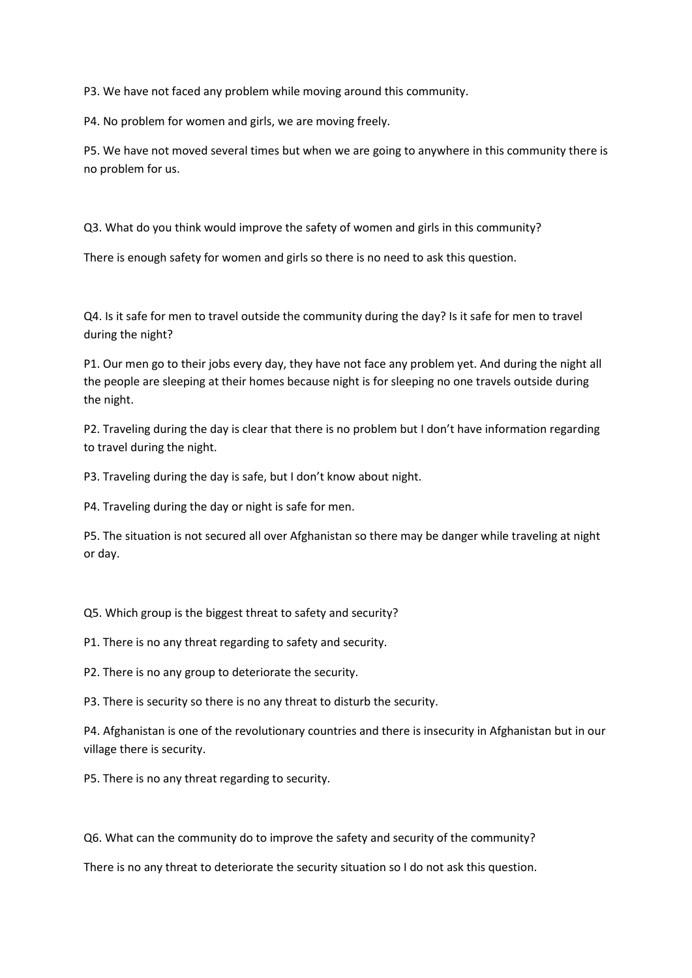P3. We have not faced any problem while moving around this community.

P4. No problem for women and girls, we are moving freely.

P5. We have not moved several times but when we are going to anywhere in this community there is no problem for us.

Q3. What do you think would improve the safety of women and girls in this community?

There is enough safety for women and girls so there is no need to ask this question.

Q4. Is it safe for men to travel outside the community during the day? Is it safe for men to travel during the night?

P1. Our men go to their jobs every day, they have not face any problem yet. And during the night all the people are sleeping at their homes because night is for sleeping no one travels outside during the night.

P2. Traveling during the day is clear that there is no problem but I don't have information regarding to travel during the night.

P3. Traveling during the day is safe, but I don't know about night.

P4. Traveling during the day or night is safe for men.

P5. The situation is not secured all over Afghanistan so there may be danger while traveling at night or day.

Q5. Which group is the biggest threat to safety and security?

P1. There is no any threat regarding to safety and security.

P2. There is no any group to deteriorate the security.

P3. There is security so there is no any threat to disturb the security.

P4. Afghanistan is one of the revolutionary countries and there is insecurity in Afghanistan but in our village there is security.

P5. There is no any threat regarding to security.

Q6. What can the community do to improve the safety and security of the community?

There is no any threat to deteriorate the security situation so I do not ask this question.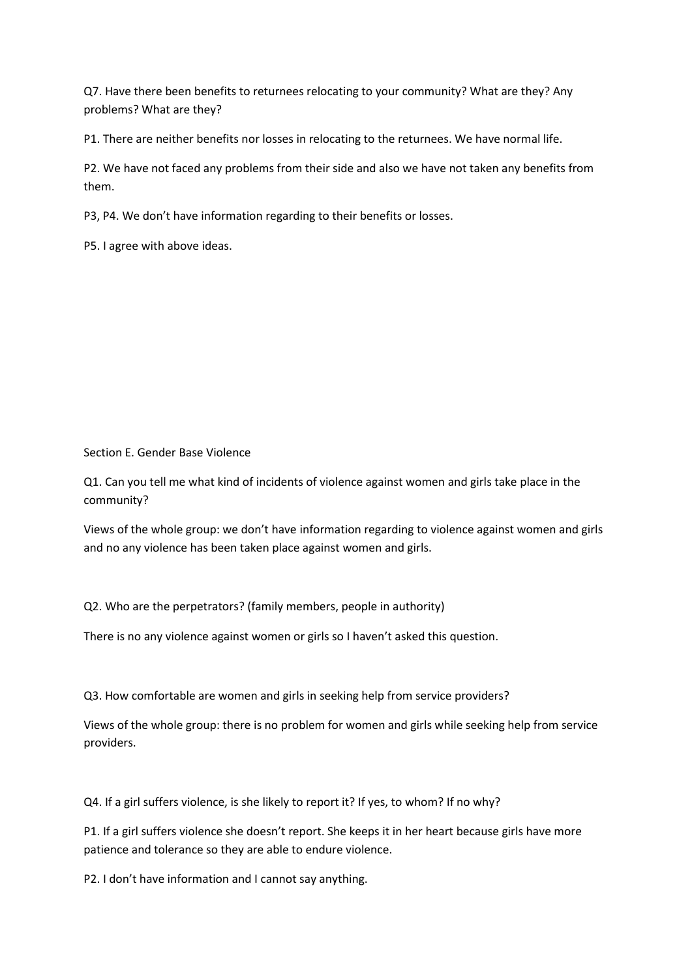Q7. Have there been benefits to returnees relocating to your community? What are they? Any problems? What are they?

P1. There are neither benefits nor losses in relocating to the returnees. We have normal life.

P2. We have not faced any problems from their side and also we have not taken any benefits from them.

P3, P4. We don't have information regarding to their benefits or losses.

P5. I agree with above ideas.

Section E. Gender Base Violence

Q1. Can you tell me what kind of incidents of violence against women and girls take place in the community?

Views of the whole group: we don't have information regarding to violence against women and girls and no any violence has been taken place against women and girls.

Q2. Who are the perpetrators? (family members, people in authority)

There is no any violence against women or girls so I haven't asked this question.

Q3. How comfortable are women and girls in seeking help from service providers?

Views of the whole group: there is no problem for women and girls while seeking help from service providers.

Q4. If a girl suffers violence, is she likely to report it? If yes, to whom? If no why?

P1. If a girl suffers violence she doesn't report. She keeps it in her heart because girls have more patience and tolerance so they are able to endure violence.

P2. I don't have information and I cannot say anything.